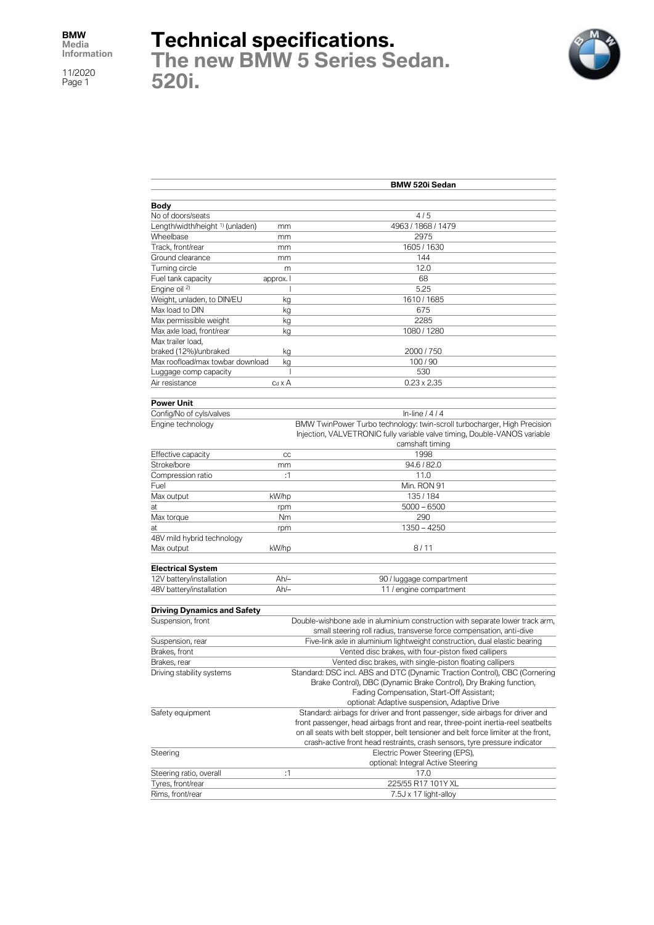# **Technical specifications.**

**The new BMW 5 Series Sedan. 520i.**



|                                             |                | <b>BMW 520i Sedan</b>                                                               |
|---------------------------------------------|----------------|-------------------------------------------------------------------------------------|
|                                             |                |                                                                                     |
| Body                                        |                |                                                                                     |
| No of doors/seats                           |                | 4/5                                                                                 |
| Length/width/height <sup>1)</sup> (unladen) | mm             | 4963 / 1868 / 1479                                                                  |
| Wheelbase                                   | mm             | 2975                                                                                |
| Track, front/rear                           | mm             | 1605 / 1630                                                                         |
| Ground clearance                            | mm             | 144                                                                                 |
| Turning circle                              | m              | 12.0                                                                                |
| Fuel tank capacity                          | approx. I      | 68                                                                                  |
| Engine oil <sup>2)</sup>                    |                | 5.25                                                                                |
| Weight, unladen, to DIN/EU                  | kg             | 1610 / 1685                                                                         |
| Max load to DIN                             | kg             | 675                                                                                 |
| Max permissible weight                      | kg             | 2285                                                                                |
| Max axle load, front/rear                   | kg             | 1080 / 1280                                                                         |
| Max trailer load,                           |                |                                                                                     |
| braked (12%)/unbraked                       | kg             | 2000 / 750                                                                          |
| Max roofload/max towbar download            | kg             | 100/90                                                                              |
| Luggage comp capacity                       | I              | 530                                                                                 |
| Air resistance                              | $c_d \times A$ | $0.23 \times 2.35$                                                                  |
| <b>Power Unit</b>                           |                |                                                                                     |
| Config/No of cyls/valves                    |                | In-line $1414$                                                                      |
| Engine technology                           |                | BMW TwinPower Turbo technology: twin-scroll turbocharger, High Precision            |
|                                             |                | Injection, VALVETRONIC fully variable valve timing, Double-VANOS variable           |
|                                             |                | camshaft timing                                                                     |
| Effective capacity                          | CC             | 1998                                                                                |
| Stroke/bore                                 | mm             | 94.6 / 82.0                                                                         |
| Compression ratio                           | :1             | 11.0                                                                                |
| Fuel                                        |                |                                                                                     |
|                                             |                | Min. RON 91                                                                         |
| Max output                                  | kW/hp          | 135/184                                                                             |
| at                                          | rpm            | $5000 - 6500$                                                                       |
| Max torque                                  | Nm             | 290                                                                                 |
| at                                          | rpm            | $1350 - 4250$                                                                       |
| 48V mild hybrid technology                  |                |                                                                                     |
| Max output                                  | kW/hp          | 8/11                                                                                |
| <b>Electrical System</b>                    |                |                                                                                     |
| 12V battery/installation                    | $Ah/-$         | 90 / luggage compartment                                                            |
| 48V battery/installation                    | $Ah/-$         | 11 / engine compartment                                                             |
| <b>Driving Dynamics and Safety</b>          |                |                                                                                     |
|                                             |                |                                                                                     |
| Suspension, front                           |                | Double-wishbone axle in aluminium construction with separate lower track arm,       |
|                                             |                | small steering roll radius, transverse force compensation, anti-dive                |
| Suspension, rear                            |                | Five-link axle in aluminium lightweight construction, dual elastic bearing          |
| Brakes, front                               |                | Vented disc brakes, with four-piston fixed callipers                                |
| Brakes, rear                                |                | Vented disc brakes, with single-piston floating callipers                           |
| Driving stability systems                   |                | Standard: DSC incl. ABS and DTC (Dynamic Traction Control), CBC (Cornering          |
|                                             |                | Brake Control), DBC (Dynamic Brake Control), Dry Braking function,                  |
|                                             |                | Fading Compensation, Start-Off Assistant;                                           |
|                                             |                | optional: Adaptive suspension, Adaptive Drive                                       |
| Safety equipment                            |                | Standard: airbags for driver and front passenger, side airbags for driver and       |
|                                             |                | front passenger, head airbags front and rear, three-point inertia-reel seatbelts    |
|                                             |                | on all seats with belt stopper, belt tensioner and belt force limiter at the front, |
|                                             |                | crash-active front head restraints, crash sensors, tyre pressure indicator          |
| Steering                                    |                | Electric Power Steering (EPS),                                                      |
|                                             |                | optional: Integral Active Steering                                                  |
| Steering ratio, overall                     | :1             | 17.0                                                                                |
| Tyres, front/rear                           |                | 225/55 R17 101Y XL                                                                  |
| Rims, front/rear                            |                | 7.5J x 17 light-alloy                                                               |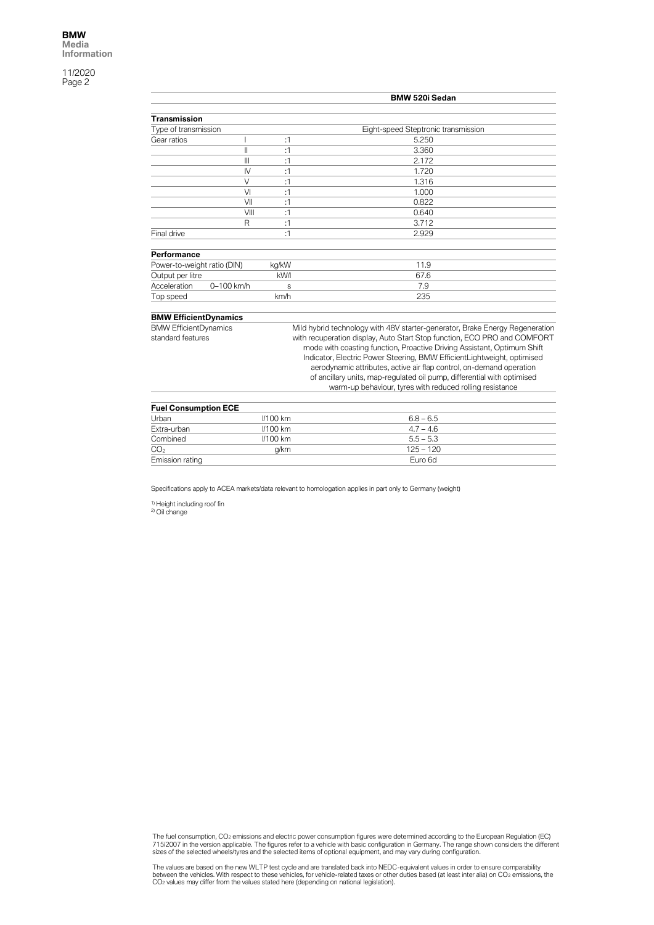|                              |            |       | BMW 520i Sedan                                                               |
|------------------------------|------------|-------|------------------------------------------------------------------------------|
|                              |            |       |                                                                              |
| Transmission                 |            |       |                                                                              |
| Type of transmission         |            |       | Eight-speed Steptronic transmission                                          |
| Gear ratios                  |            | :1    | 5.250                                                                        |
|                              | II         | :1    | 3.360                                                                        |
|                              | Ш          | :1    | 2.172                                                                        |
|                              | IV         | :1    | 1.720                                                                        |
|                              | $\vee$     | :1    | 1.316                                                                        |
|                              | VI         | :1    | 1.000                                                                        |
|                              | VII        | :1    | 0.822                                                                        |
|                              | VIII       | :1    | 0.640                                                                        |
|                              | R          | :1    | 3.712                                                                        |
| Final drive                  |            | :1    | 2.929                                                                        |
| Performance                  |            |       |                                                                              |
| Power-to-weight ratio (DIN)  |            | kg/kW | 11.9                                                                         |
| Output per litre             |            | kW/I  | 67.6                                                                         |
| Acceleration                 | 0-100 km/h | S     | 7.9                                                                          |
| Top speed                    |            | km/h  | 235                                                                          |
| <b>BMW EfficientDynamics</b> |            |       |                                                                              |
| <b>BMW EfficientDynamics</b> |            |       | Mild hybrid technology with 48V starter-generator, Brake Energy Regeneration |
| standard features            |            |       | with recuperation display, Auto Start Stop function, ECO PRO and COMFORT     |
|                              |            |       | mode with coasting function, Proactive Driving Assistant, Optimum Shift      |
|                              |            |       | Indicator, Electric Power Steering, BMW EfficientLightweight, optimised      |
|                              |            |       | aerodynamic attributes, active air flap control, on-demand operation         |
|                              |            |       | of ancillary units, map-regulated oil pump, differential with optimised      |
|                              |            |       | warm-up behaviour, tyres with reduced rolling resistance                     |

| <b>Fuel Consumption ECE</b> |            |             |  |
|-----------------------------|------------|-------------|--|
| Urban                       | $1/100$ km | $6.8 - 6.5$ |  |
| Extra-urban                 | $1/100$ km | $4.7 - 4.6$ |  |
| Combined                    | $1/100$ km | $5.5 - 5.3$ |  |
| CO <sub>2</sub>             | a/km       | $125 - 120$ |  |
| Emission rating             |            | Euro 6d     |  |

Specifications apply to ACEA markets/data relevant to homologation applies in part only to Germany (weight)

<sup>1)</sup> Height including roof fin<br><sup>2)</sup> Oil change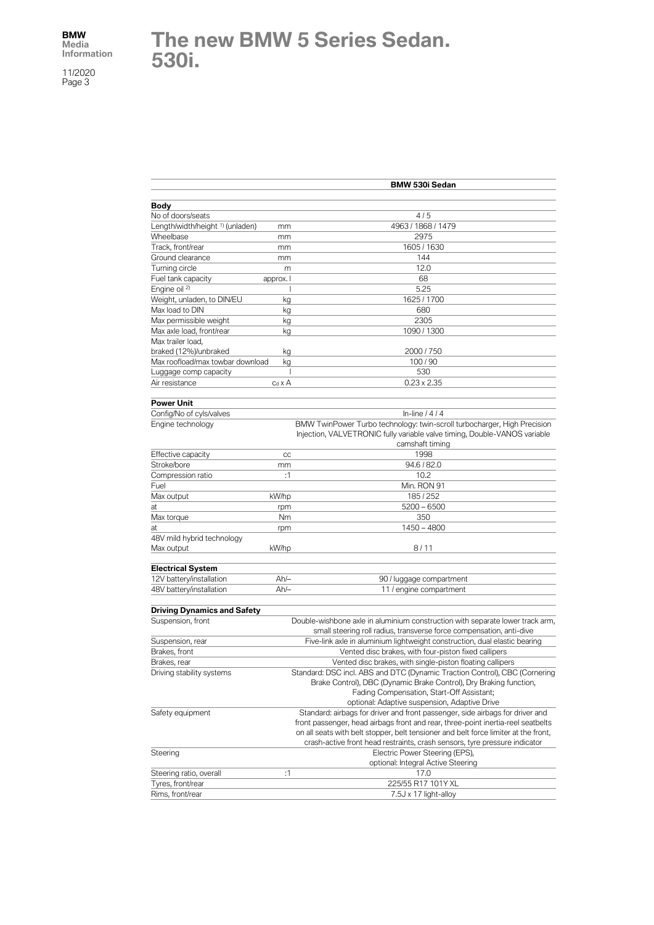#### **The new BMW 5 Series Sedan. 530i.**

|                                             |                | <b>BMW 530i Sedan</b>                                                                        |
|---------------------------------------------|----------------|----------------------------------------------------------------------------------------------|
|                                             |                |                                                                                              |
| Body                                        |                |                                                                                              |
| No of doors/seats                           |                | 4/5                                                                                          |
| Length/width/height <sup>1)</sup> (unladen) | mm             | 4963 / 1868 / 1479                                                                           |
| Wheelbase                                   | mm             | 2975                                                                                         |
| Track, front/rear                           | mm             | 1605 / 1630                                                                                  |
| Ground clearance                            | mm             | 144                                                                                          |
| Turning circle                              | m              | 12.0                                                                                         |
| Fuel tank capacity                          | approx. I      | 68                                                                                           |
| Engine oil <sup>2)</sup>                    |                | 5.25                                                                                         |
| Weight, unladen, to DIN/EU                  | kg             | 1625 / 1700                                                                                  |
| Max load to DIN                             | kg             | 680                                                                                          |
| Max permissible weight                      | kg             | 2305                                                                                         |
| Max axle load, front/rear                   | kg             | 1090 / 1300                                                                                  |
| Max trailer load,                           |                |                                                                                              |
| braked (12%)/unbraked                       | kg             | 2000 / 750                                                                                   |
| Max roofload/max towbar download            | kg             | 100/90                                                                                       |
| Luggage comp capacity                       | J              | 530                                                                                          |
| Air resistance                              | $c_d \times A$ | $0.23 \times 2.35$                                                                           |
| <b>Power Unit</b>                           |                |                                                                                              |
| Config/No of cyls/valves                    |                | In-line $/4/4$                                                                               |
| Engine technology                           |                | BMW TwinPower Turbo technology: twin-scroll turbocharger, High Precision                     |
|                                             |                | Injection, VALVETRONIC fully variable valve timing, Double-VANOS variable<br>camshaft timing |
| Effective capacity                          | CC             | 1998                                                                                         |
| Stroke/bore                                 | mm             | 94.6 / 82.0                                                                                  |
| Compression ratio                           | :1             | 10.2                                                                                         |
| Fuel                                        |                | Min. RON 91                                                                                  |
| Max output                                  | kW/hp          | 185/252                                                                                      |
| at                                          | rpm            | $5200 - 6500$                                                                                |
| Max torque                                  | Nm             | 350                                                                                          |
| at                                          | rpm            | 1450 - 4800                                                                                  |
| 48V mild hybrid technology                  |                |                                                                                              |
| Max output                                  | kW/hp          | 8/11                                                                                         |
|                                             |                |                                                                                              |
| <b>Electrical System</b>                    |                |                                                                                              |
| 12V battery/installation                    | Ah/-           | 90 / luggage compartment                                                                     |
| 48V battery/installation                    | $Ah/-$         | 11 / engine compartment                                                                      |
| <b>Driving Dynamics and Safety</b>          |                |                                                                                              |
| Suspension, front                           |                | Double-wishbone axle in aluminium construction with separate lower track arm,                |
|                                             |                | small steering roll radius, transverse force compensation, anti-dive                         |
| Suspension, rear                            |                | Five-link axle in aluminium lightweight construction, dual elastic bearing                   |
| Brakes, front                               |                | Vented disc brakes, with four-piston fixed callipers                                         |
| Brakes, rear                                |                | Vented disc brakes, with single-piston floating callipers                                    |
| Driving stability systems                   |                | Standard: DSC incl. ABS and DTC (Dynamic Traction Control), CBC (Cornering                   |
|                                             |                | Brake Control), DBC (Dynamic Brake Control), Dry Braking function,                           |
|                                             |                | Fading Compensation, Start-Off Assistant;                                                    |
|                                             |                | optional: Adaptive suspension, Adaptive Drive                                                |
| Safety equipment                            |                | Standard: airbags for driver and front passenger, side airbags for driver and                |
|                                             |                | front passenger, head airbags front and rear, three-point inertia-reel seatbelts             |
|                                             |                | on all seats with belt stopper, belt tensioner and belt force limiter at the front,          |
|                                             |                | crash-active front head restraints, crash sensors, tyre pressure indicator                   |
| Steering                                    |                | Electric Power Steering (EPS),                                                               |
|                                             |                | optional: Integral Active Steering                                                           |
| Steering ratio, overall                     | :1             | 17.0                                                                                         |
| Tyres, front/rear                           |                | 225/55 R17 101Y XL                                                                           |
| Rims, front/rear                            |                | 7.5J x 17 light-alloy                                                                        |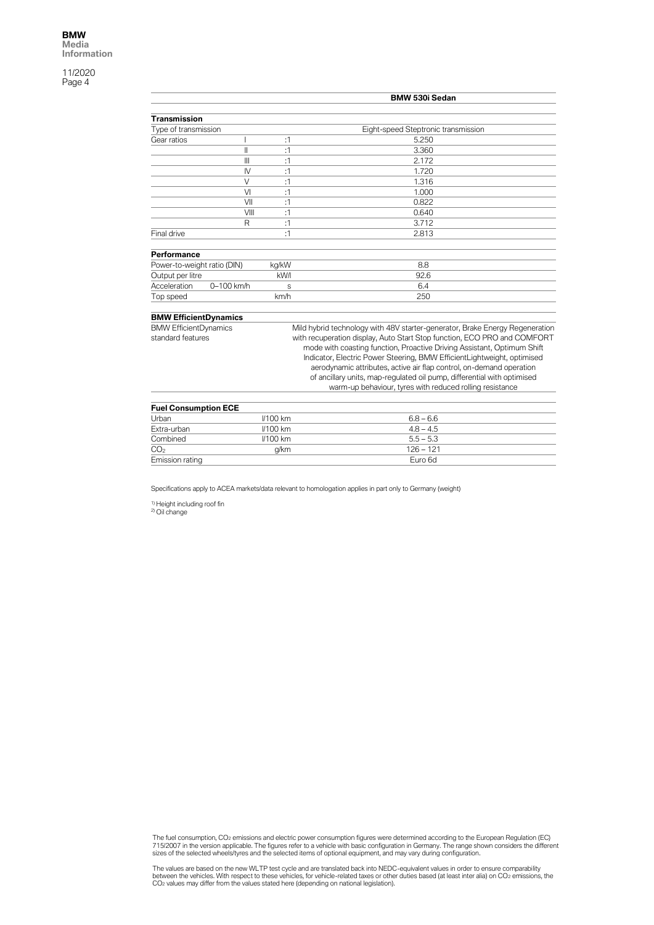|                              |            |              |       | BMW 530i Sedan                                                               |
|------------------------------|------------|--------------|-------|------------------------------------------------------------------------------|
|                              |            |              |       |                                                                              |
| <b>Transmission</b>          |            |              |       |                                                                              |
| Type of transmission         |            |              |       | Eight-speed Steptronic transmission                                          |
| Gear ratios                  |            |              | :1    | 5.250                                                                        |
|                              |            | Ш            | :1    | 3.360                                                                        |
|                              |            | Ш            | :1    | 2.172                                                                        |
|                              |            | $\mathsf{N}$ | :1    | 1.720                                                                        |
|                              |            | $\vee$       | :1    | 1.316                                                                        |
|                              |            | VI           | :1    | 1.000                                                                        |
|                              |            | VII          | :1    | 0.822                                                                        |
|                              |            | VIII         | :1    | 0.640                                                                        |
|                              |            | R            | :1    | 3.712                                                                        |
| Final drive                  |            |              | :1    | 2.813                                                                        |
|                              |            |              |       |                                                                              |
| Performance                  |            |              |       |                                                                              |
| Power-to-weight ratio (DIN)  |            |              | kg/kW | 8.8                                                                          |
| Output per litre             |            |              | kW/l  | 92.6                                                                         |
| Acceleration                 | 0-100 km/h |              | S     | 6.4                                                                          |
| Top speed                    |            |              | km/h  | 250                                                                          |
|                              |            |              |       |                                                                              |
| <b>BMW EfficientDynamics</b> |            |              |       |                                                                              |
| <b>BMW EfficientDynamics</b> |            |              |       | Mild hybrid technology with 48V starter-generator, Brake Energy Regeneration |
| standard features            |            |              |       | with recuperation display, Auto Start Stop function, ECO PRO and COMFORT     |
|                              |            |              |       | mode with coasting function, Proactive Driving Assistant, Optimum Shift      |
|                              |            |              |       | Indicator, Electric Power Steering, BMW EfficientLightweight, optimised      |
|                              |            |              |       | aerodynamic attributes, active air flap control, on-demand operation         |
|                              |            |              |       | of ancillary units, map-regulated oil pump, differential with optimised      |
|                              |            |              |       | warm-up behaviour, tyres with reduced rolling resistance                     |
|                              |            |              |       |                                                                              |
| <b>Fuel Consumption ECE</b>  |            |              |       |                                                                              |

| <b>Fuel Consumption ECE</b> |                 |             |  |
|-----------------------------|-----------------|-------------|--|
| Urban                       | $1/100$ km      | $6.8 - 6.6$ |  |
| Extra-urban                 | $1/100$ km      | $4.8 - 4.5$ |  |
| Combined                    | <b>//100 km</b> | $5.5 - 5.3$ |  |
| CO <sub>2</sub>             | a/km            | $126 - 121$ |  |
| Emission rating             |                 | Euro 6d     |  |

Specifications apply to ACEA markets/data relevant to homologation applies in part only to Germany (weight)

<sup>1)</sup> Height including roof fin<br><sup>2)</sup> Oil change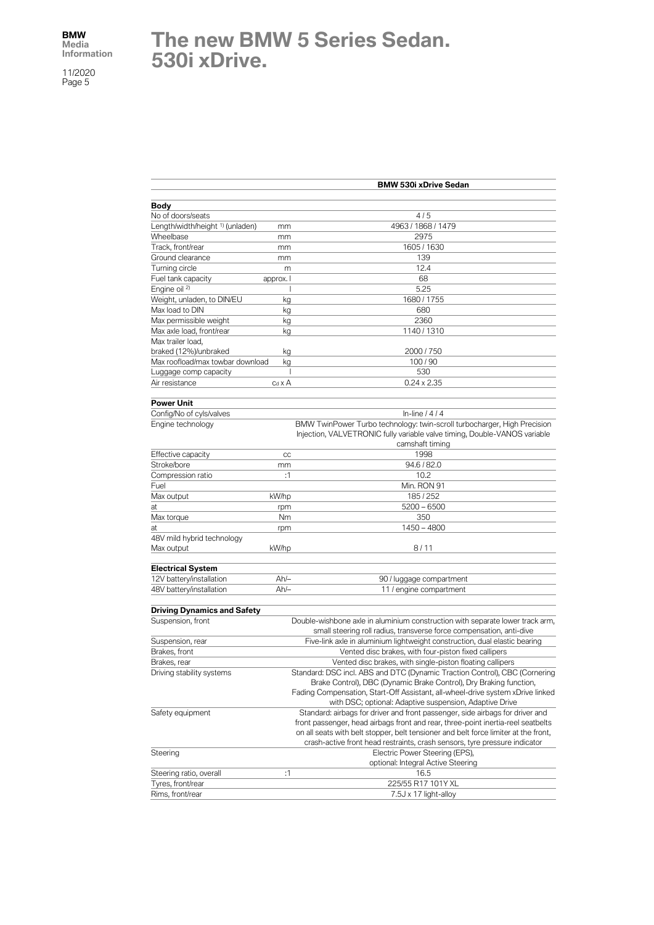# **The new BMW 5 Series Sedan. 530i xDrive.**

|                                             |                | <b>BMW 530i xDrive Sedan</b>                                                        |
|---------------------------------------------|----------------|-------------------------------------------------------------------------------------|
|                                             |                |                                                                                     |
| <b>Body</b>                                 |                |                                                                                     |
| No of doors/seats                           |                | 4/5                                                                                 |
| Length/width/height <sup>1)</sup> (unladen) | mm             | 4963 / 1868 / 1479                                                                  |
| Wheelbase                                   | mm             | 2975                                                                                |
| Track, front/rear                           | mm             | 1605 / 1630                                                                         |
| Ground clearance                            | mm             | 139                                                                                 |
| Turning circle                              | m              | 12.4                                                                                |
| Fuel tank capacity                          | approx. I      | 68                                                                                  |
| Engine oil <sup>2)</sup>                    |                | 5.25                                                                                |
| Weight, unladen, to DIN/EU                  | kg             | 1680 / 1755                                                                         |
| Max load to DIN                             | kg             | 680                                                                                 |
| Max permissible weight                      | kg             | 2360                                                                                |
| Max axle load, front/rear                   | kg             | 1140 / 1310                                                                         |
| Max trailer load.                           |                |                                                                                     |
|                                             |                |                                                                                     |
| braked (12%)/unbraked                       | kg             | 2000 / 750                                                                          |
| Max roofload/max towbar download            | kg             | 100/90                                                                              |
| Luggage comp capacity                       | J              | 530                                                                                 |
| Air resistance                              | $c_d \times A$ | $0.24 \times 2.35$                                                                  |
| <b>Power Unit</b>                           |                |                                                                                     |
| Config/No of cyls/valves                    |                | In-line $/4/4$                                                                      |
| Engine technology                           |                | BMW TwinPower Turbo technology: twin-scroll turbocharger, High Precision            |
|                                             |                | Injection, VALVETRONIC fully variable valve timing, Double-VANOS variable           |
|                                             |                | camshaft timing                                                                     |
| Effective capacity                          | CC             | 1998                                                                                |
| Stroke/bore                                 | mm             | 94.6 / 82.0                                                                         |
| Compression ratio                           | :1             | 10.2                                                                                |
|                                             |                |                                                                                     |
| Fuel                                        |                | Min. RON 91                                                                         |
| Max output                                  | kW/hp          | 185/252                                                                             |
| at                                          | rpm            | $5200 - 6500$                                                                       |
| Max torque                                  | Nm             | 350                                                                                 |
| at                                          | rpm            | $1450 - 4800$                                                                       |
| 48V mild hybrid technology                  |                |                                                                                     |
| Max output                                  | kW/hp          | 8/11                                                                                |
| <b>Electrical System</b>                    |                |                                                                                     |
|                                             | Ah/-           |                                                                                     |
| 12V battery/installation                    |                | 90 / luggage compartment                                                            |
| 48V battery/installation                    | $Ah/-$         | 11 / engine compartment                                                             |
| <b>Driving Dynamics and Safety</b>          |                |                                                                                     |
| Suspension, front                           |                | Double-wishbone axle in aluminium construction with separate lower track arm,       |
|                                             |                | small steering roll radius, transverse force compensation, anti-dive                |
| Suspension, rear                            |                | Five-link axle in aluminium lightweight construction, dual elastic bearing          |
| Brakes, front                               |                | Vented disc brakes, with four-piston fixed callipers                                |
| Brakes, rear                                |                | Vented disc brakes, with single-piston floating callipers                           |
| Driving stability systems                   |                | Standard: DSC incl. ABS and DTC (Dynamic Traction Control), CBC (Cornering          |
|                                             |                | Brake Control), DBC (Dynamic Brake Control), Dry Braking function,                  |
|                                             |                |                                                                                     |
|                                             |                | Fading Compensation, Start-Off Assistant, all-wheel-drive system xDrive linked      |
|                                             |                | with DSC; optional: Adaptive suspension, Adaptive Drive                             |
| Safety equipment                            |                | Standard: airbags for driver and front passenger, side airbags for driver and       |
|                                             |                | front passenger, head airbags front and rear, three-point inertia-reel seatbelts    |
|                                             |                | on all seats with belt stopper, belt tensioner and belt force limiter at the front, |
|                                             |                | crash-active front head restraints, crash sensors, tyre pressure indicator          |
| Steering                                    |                | Electric Power Steering (EPS),                                                      |
|                                             |                | optional: Integral Active Steering                                                  |
| Steering ratio, overall                     | :1             | 16.5                                                                                |
| Tyres, front/rear                           |                | 225/55 R17 101Y XL                                                                  |
| Rims, front/rear                            |                | 7.5J x 17 light-alloy                                                               |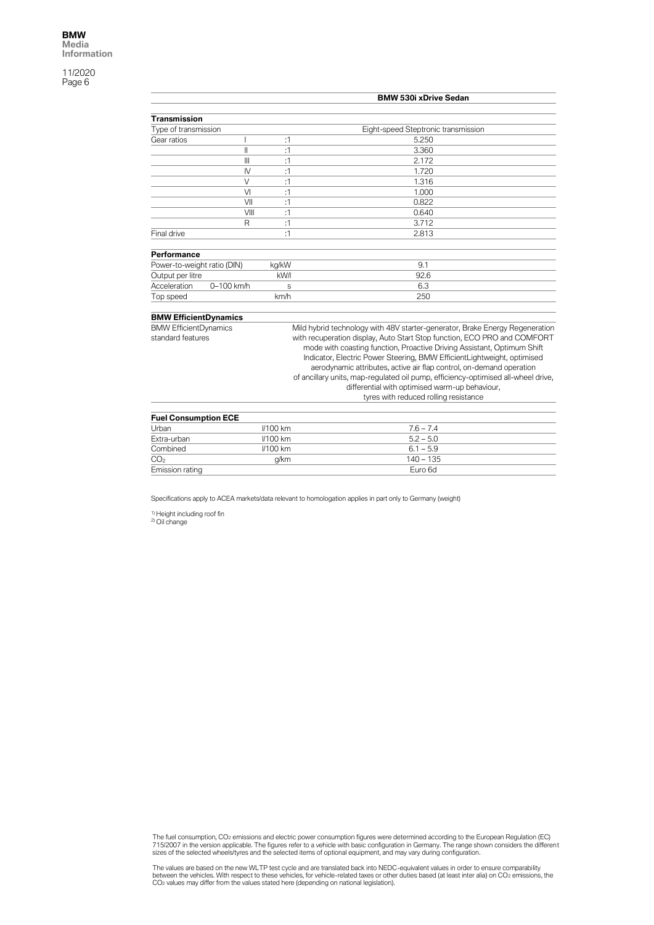|                                                   |                      | <b>BMW 530i xDrive Sedan</b>                                                                                                                                                                                                                                                                                                                                                                                                                                                                                                                                           |
|---------------------------------------------------|----------------------|------------------------------------------------------------------------------------------------------------------------------------------------------------------------------------------------------------------------------------------------------------------------------------------------------------------------------------------------------------------------------------------------------------------------------------------------------------------------------------------------------------------------------------------------------------------------|
| <b>Transmission</b>                               |                      |                                                                                                                                                                                                                                                                                                                                                                                                                                                                                                                                                                        |
| Type of transmission                              |                      | Eight-speed Steptronic transmission                                                                                                                                                                                                                                                                                                                                                                                                                                                                                                                                    |
| Gear ratios                                       | :1                   | 5.250                                                                                                                                                                                                                                                                                                                                                                                                                                                                                                                                                                  |
|                                                   | $\mathsf{I}$<br>:1   | 3.360                                                                                                                                                                                                                                                                                                                                                                                                                                                                                                                                                                  |
|                                                   | $\mathbf{III}$<br>:1 | 2.172                                                                                                                                                                                                                                                                                                                                                                                                                                                                                                                                                                  |
|                                                   | $\mathsf{N}$<br>:1   | 1.720                                                                                                                                                                                                                                                                                                                                                                                                                                                                                                                                                                  |
|                                                   | $\vee$<br>:1         | 1.316                                                                                                                                                                                                                                                                                                                                                                                                                                                                                                                                                                  |
|                                                   | VI<br>:1             | 1.000                                                                                                                                                                                                                                                                                                                                                                                                                                                                                                                                                                  |
|                                                   | VII<br>:1            | 0.822                                                                                                                                                                                                                                                                                                                                                                                                                                                                                                                                                                  |
|                                                   | VIII<br>:1           | 0.640                                                                                                                                                                                                                                                                                                                                                                                                                                                                                                                                                                  |
|                                                   | R<br>:1              | 3.712                                                                                                                                                                                                                                                                                                                                                                                                                                                                                                                                                                  |
| Final drive                                       | :1                   | 2.813                                                                                                                                                                                                                                                                                                                                                                                                                                                                                                                                                                  |
| Performance                                       |                      |                                                                                                                                                                                                                                                                                                                                                                                                                                                                                                                                                                        |
| Power-to-weight ratio (DIN)                       | kg/kW                | 9.1                                                                                                                                                                                                                                                                                                                                                                                                                                                                                                                                                                    |
| Output per litre                                  | kW/I                 | 92.6                                                                                                                                                                                                                                                                                                                                                                                                                                                                                                                                                                   |
| Acceleration<br>0-100 km/h                        | S                    | 6.3                                                                                                                                                                                                                                                                                                                                                                                                                                                                                                                                                                    |
| Top speed                                         | km/h                 | 250                                                                                                                                                                                                                                                                                                                                                                                                                                                                                                                                                                    |
| <b>BMW EfficientDynamics</b>                      |                      |                                                                                                                                                                                                                                                                                                                                                                                                                                                                                                                                                                        |
| <b>BMW EfficientDynamics</b><br>standard features |                      | Mild hybrid technology with 48V starter-generator, Brake Energy Regeneration<br>with recuperation display, Auto Start Stop function, ECO PRO and COMFORT<br>mode with coasting function, Proactive Driving Assistant, Optimum Shift<br>Indicator, Electric Power Steering, BMW EfficientLightweight, optimised<br>aerodynamic attributes, active air flap control, on-demand operation<br>of ancillary units, map-regulated oil pump, efficiency-optimised all-wheel drive,<br>differential with optimised warm-up behaviour,<br>tyres with reduced rolling resistance |
| <b>Fuel Consumption ECE</b>                       |                      |                                                                                                                                                                                                                                                                                                                                                                                                                                                                                                                                                                        |
| Urban                                             | <b>//100 km</b>      | $7.6 - 7.4$                                                                                                                                                                                                                                                                                                                                                                                                                                                                                                                                                            |
| Extra-urban                                       | <b>//100 km</b>      | $5.2 - 5.0$                                                                                                                                                                                                                                                                                                                                                                                                                                                                                                                                                            |
| Combined                                          | <b>I/100 km</b>      | $6.1 - 5.9$                                                                                                                                                                                                                                                                                                                                                                                                                                                                                                                                                            |

Specifications apply to ACEA markets/data relevant to homologation applies in part only to Germany (weight)

 $CO<sub>2</sub>$  g/km  $140 - 135$ Emission rating Euro 6d

<sup>1)</sup> Height including roof fin<br><sup>2)</sup> Oil change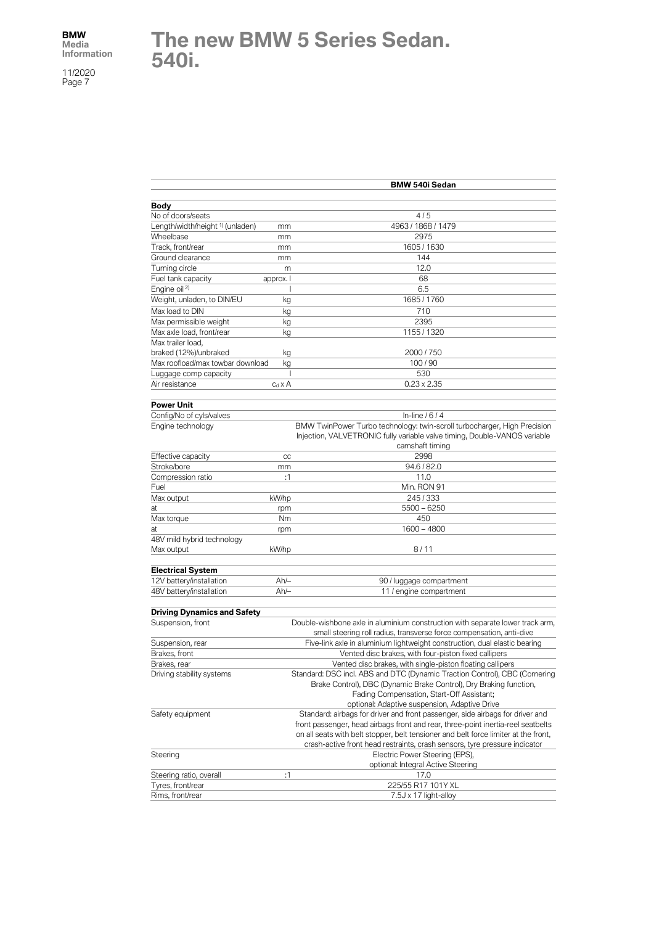#### **The new BMW 5 Series Sedan. 540i.**

|                                             |                | <b>BMW 540i Sedan</b>                                                                                                                                 |
|---------------------------------------------|----------------|-------------------------------------------------------------------------------------------------------------------------------------------------------|
|                                             |                |                                                                                                                                                       |
| Body                                        |                |                                                                                                                                                       |
| No of doors/seats                           |                | 4/5                                                                                                                                                   |
| Length/width/height <sup>1)</sup> (unladen) | mm             | 4963 / 1868 / 1479                                                                                                                                    |
| Wheelbase                                   | mm             | 2975                                                                                                                                                  |
| Track, front/rear                           | mm             | 1605 / 1630                                                                                                                                           |
| Ground clearance                            | mm             | 144                                                                                                                                                   |
| Turning circle                              | m              | 12.0                                                                                                                                                  |
| Fuel tank capacity                          | approx. I      | 68                                                                                                                                                    |
| Engine oil <sup>2)</sup>                    |                | 6.5                                                                                                                                                   |
| Weight, unladen, to DIN/EU                  | kg             | 1685 / 1760                                                                                                                                           |
| Max load to DIN                             | kg             | 710                                                                                                                                                   |
| Max permissible weight                      | kg             | 2395                                                                                                                                                  |
| Max axle load, front/rear                   | kg             | 1155 / 1320                                                                                                                                           |
| Max trailer load,                           |                |                                                                                                                                                       |
| braked (12%)/unbraked                       | kg             | 2000 / 750                                                                                                                                            |
| Max roofload/max towbar download            | kg             | 100/90                                                                                                                                                |
| Luggage comp capacity                       |                | 530                                                                                                                                                   |
| Air resistance                              | $c_d \times A$ | $0.23 \times 2.35$                                                                                                                                    |
| <b>Power Unit</b>                           |                |                                                                                                                                                       |
| Config/No of cyls/valves                    |                | In-line $/6/4$                                                                                                                                        |
| Engine technology                           |                | BMW TwinPower Turbo technology: twin-scroll turbocharger, High Precision<br>Injection, VALVETRONIC fully variable valve timing, Double-VANOS variable |
| Effective capacity                          | CC             | camshaft timing<br>2998                                                                                                                               |
| Stroke/bore                                 |                | 94.6 / 82.0                                                                                                                                           |
| Compression ratio                           | mm<br>:1       | 11.0                                                                                                                                                  |
| Fuel                                        |                | Min. RON 91                                                                                                                                           |
|                                             | kW/hp          | 245/333                                                                                                                                               |
| Max output                                  |                | $5500 - 6250$                                                                                                                                         |
| at<br>Max torque                            | rpm            | 450                                                                                                                                                   |
|                                             | Nm             | 1600 - 4800                                                                                                                                           |
| at<br>48V mild hybrid technology            | rpm            |                                                                                                                                                       |
| Max output                                  | kW/hp          | 8/11                                                                                                                                                  |
|                                             |                |                                                                                                                                                       |
| <b>Electrical System</b>                    |                |                                                                                                                                                       |
| 12V battery/installation                    | $Ah/-$         | 90 / luggage compartment                                                                                                                              |
| 48V battery/installation                    | $Ah/-$         | 11 / engine compartment                                                                                                                               |
| <b>Driving Dynamics and Safety</b>          |                |                                                                                                                                                       |
| Suspension, front                           |                | Double-wishbone axle in aluminium construction with separate lower track arm,<br>small steering roll radius, transverse force compensation, anti-dive |
| Suspension, rear                            |                | Five-link axle in aluminium lightweight construction, dual elastic bearing                                                                            |
| Brakes, front                               |                | Vented disc brakes, with four-piston fixed callipers                                                                                                  |
| Brakes, rear                                |                | Vented disc brakes, with single-piston floating callipers                                                                                             |
| Driving stability systems                   |                | Standard: DSC incl. ABS and DTC (Dynamic Traction Control), CBC (Cornering                                                                            |
|                                             |                | Brake Control), DBC (Dynamic Brake Control), Dry Braking function,                                                                                    |
|                                             |                | Fading Compensation, Start-Off Assistant;                                                                                                             |
|                                             |                | optional: Adaptive suspension, Adaptive Drive                                                                                                         |
| Safety equipment                            |                | Standard: airbags for driver and front passenger, side airbags for driver and                                                                         |
|                                             |                | front passenger, head airbags front and rear, three-point inertia-reel seatbelts                                                                      |
|                                             |                | on all seats with belt stopper, belt tensioner and belt force limiter at the front,                                                                   |
|                                             |                | crash-active front head restraints, crash sensors, tyre pressure indicator                                                                            |
| Steering                                    |                | Electric Power Steering (EPS),                                                                                                                        |
|                                             |                | optional: Integral Active Steering                                                                                                                    |
| Steering ratio, overall                     | :1             | 17.0                                                                                                                                                  |
| Tyres, front/rear                           |                | 225/55 R17 101Y XL                                                                                                                                    |
| Rims, front/rear                            |                | 7.5J x 17 light-alloy                                                                                                                                 |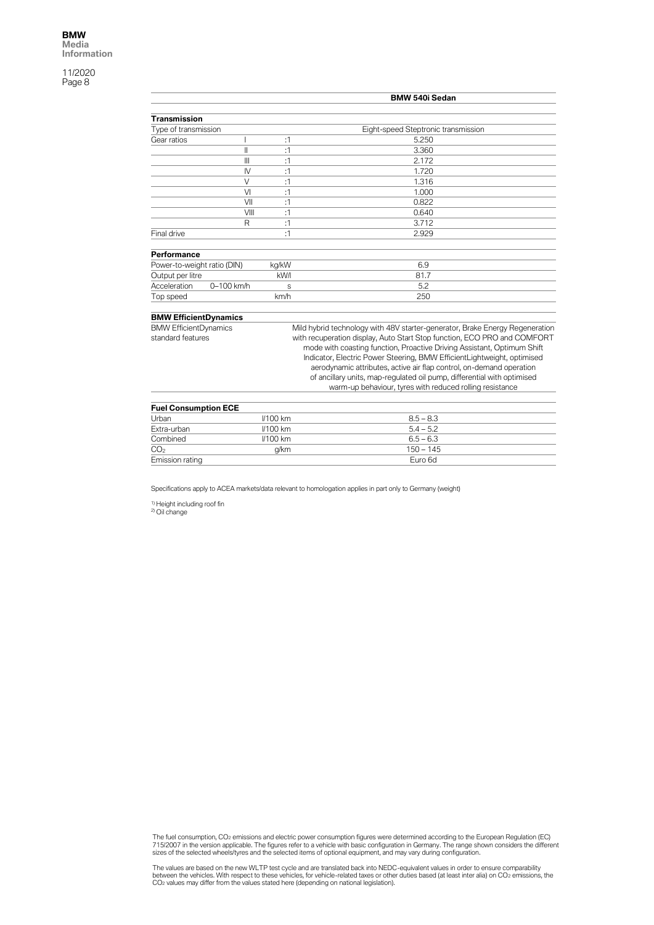|                              |              |                                                                          | BMW 540i Sedan                                                                                                                                     |  |
|------------------------------|--------------|--------------------------------------------------------------------------|----------------------------------------------------------------------------------------------------------------------------------------------------|--|
|                              |              |                                                                          |                                                                                                                                                    |  |
| <b>Transmission</b>          |              |                                                                          |                                                                                                                                                    |  |
| Type of transmission         |              |                                                                          | Eight-speed Steptronic transmission                                                                                                                |  |
| Gear ratios                  |              | :1                                                                       | 5.250                                                                                                                                              |  |
|                              | $\mathsf{I}$ | :1                                                                       | 3.360                                                                                                                                              |  |
|                              | $\mathbf{m}$ | :1                                                                       | 2.172                                                                                                                                              |  |
|                              | IV           | :1                                                                       | 1.720                                                                                                                                              |  |
|                              | $\vee$       | :1                                                                       | 1.316                                                                                                                                              |  |
|                              | VI           | :1                                                                       | 1.000                                                                                                                                              |  |
|                              | VII          | :1                                                                       | 0.822                                                                                                                                              |  |
|                              | VIII         | :1                                                                       | 0.640                                                                                                                                              |  |
|                              | R            | :1                                                                       | 3.712                                                                                                                                              |  |
| Final drive                  |              | :1                                                                       | 2.929                                                                                                                                              |  |
| Performance                  |              |                                                                          |                                                                                                                                                    |  |
| Power-to-weight ratio (DIN)  |              | kg/kW                                                                    | 6.9                                                                                                                                                |  |
| Output per litre             |              | kW/I                                                                     | 81.7                                                                                                                                               |  |
| Acceleration                 | 0-100 km/h   | S                                                                        | 5.2                                                                                                                                                |  |
| Top speed                    |              | km/h                                                                     | 250                                                                                                                                                |  |
| <b>BMW EfficientDynamics</b> |              |                                                                          |                                                                                                                                                    |  |
| <b>BMW EfficientDynamics</b> |              |                                                                          | Mild hybrid technology with 48V starter-generator, Brake Energy Regeneration                                                                       |  |
| standard features            |              | with recuperation display, Auto Start Stop function, ECO PRO and COMFORT |                                                                                                                                                    |  |
|                              |              |                                                                          | mode with coasting function, Proactive Driving Assistant, Optimum Shift<br>Indicator, Electric Power Steering, BMW EfficientLightweight, optimised |  |
|                              |              |                                                                          | aerodynamic attributes, active air flap control, on-demand operation                                                                               |  |
|                              |              |                                                                          | of ancillary units, map-regulated oil pump, differential with optimised                                                                            |  |
|                              |              |                                                                          | warm-up behaviour, tyres with reduced rolling resistance                                                                                           |  |
|                              |              |                                                                          |                                                                                                                                                    |  |

| <b>Fuel Consumption ECE</b> |            |             |  |
|-----------------------------|------------|-------------|--|
| Urban                       | $1/100$ km | $8.5 - 8.3$ |  |
| Extra-urban                 | $1/100$ km | $5.4 - 5.2$ |  |
| Combined                    | $1/100$ km | $6.5 - 6.3$ |  |
| CO <sub>2</sub>             | a/km       | $150 - 145$ |  |
| Emission rating             |            | Euro 6d     |  |

Specifications apply to ACEA markets/data relevant to homologation applies in part only to Germany (weight)

<sup>1)</sup> Height including roof fin<br><sup>2)</sup> Oil change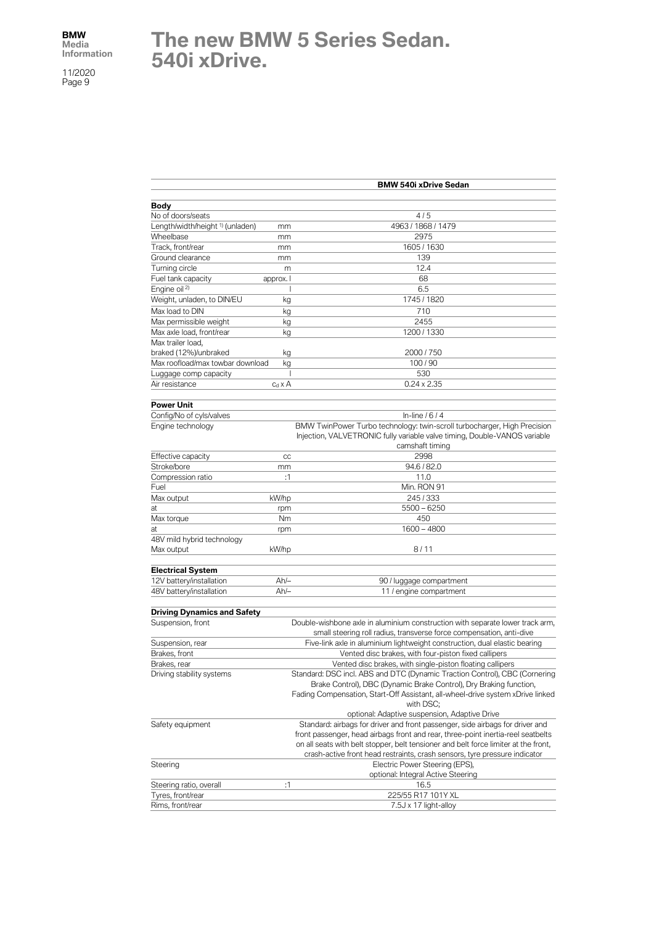# **The new BMW 5 Series Sedan. 540i xDrive.**

|                                                |                | <b>BMW 540i xDrive Sedan</b>                                                        |
|------------------------------------------------|----------------|-------------------------------------------------------------------------------------|
|                                                |                |                                                                                     |
| Body                                           |                |                                                                                     |
| No of doors/seats                              |                | 4/5                                                                                 |
| Length/width/height <sup>1)</sup> (unladen)    | mm             | 4963 / 1868 / 1479                                                                  |
| Wheelbase                                      | mm             | 2975                                                                                |
| Track, front/rear                              | mm             | 1605 / 1630                                                                         |
| Ground clearance                               | mm             | 139                                                                                 |
| Turning circle                                 | m              | 12.4                                                                                |
| Fuel tank capacity<br>Engine oil <sup>2)</sup> | approx. I      | 68<br>6.5                                                                           |
| Weight, unladen, to DIN/EU                     | kg             | 1745 / 1820                                                                         |
|                                                |                |                                                                                     |
| Max load to DIN                                | kg             | 710                                                                                 |
| Max permissible weight                         | kg             | 2455<br>1200 / 1330                                                                 |
| Max axle load, front/rear<br>Max trailer load, | kg             |                                                                                     |
| braked (12%)/unbraked                          |                | 2000 / 750                                                                          |
| Max roofload/max towbar download               | kg<br>kg       | 100/90                                                                              |
| Luggage comp capacity                          | J              | 530                                                                                 |
| Air resistance                                 | $c_d \times A$ | $0.24 \times 2.35$                                                                  |
|                                                |                |                                                                                     |
| <b>Power Unit</b>                              |                |                                                                                     |
| Config/No of cyls/valves                       |                | In-line $/6/4$                                                                      |
| Engine technology                              |                | BMW TwinPower Turbo technology: twin-scroll turbocharger, High Precision            |
|                                                |                | Injection, VALVETRONIC fully variable valve timing, Double-VANOS variable           |
|                                                |                | camshaft timing                                                                     |
| Effective capacity                             | CC             | 2998                                                                                |
| Stroke/bore                                    | mm             | 94.6 / 82.0                                                                         |
| Compression ratio                              | :1             | 11.0                                                                                |
| Fuel                                           |                | Min. RON 91                                                                         |
| Max output                                     | kW/hp          | 245/333                                                                             |
| at                                             | rpm            | $5500 - 6250$                                                                       |
| Max torque                                     | Nm             | 450                                                                                 |
| at                                             | rpm            | 1600 - 4800                                                                         |
| 48V mild hybrid technology                     |                |                                                                                     |
| Max output                                     | kW/hp          | 8/11                                                                                |
|                                                |                |                                                                                     |
| <b>Electrical System</b>                       |                |                                                                                     |
| 12V battery/installation                       | Ah/-           | 90 / luggage compartment                                                            |
| 48V battery/installation                       | $Ah/-$         | 11 / engine compartment                                                             |
| <b>Driving Dynamics and Safety</b>             |                |                                                                                     |
| Suspension, front                              |                | Double-wishbone axle in aluminium construction with separate lower track arm,       |
|                                                |                | small steering roll radius, transverse force compensation, anti-dive                |
| Suspension, rear                               |                | Five-link axle in aluminium lightweight construction, dual elastic bearing          |
| Brakes, front                                  |                | Vented disc brakes, with four-piston fixed callipers                                |
| Brakes, rear                                   |                | Vented disc brakes, with single-piston floating callipers                           |
| Driving stability systems                      |                | Standard: DSC incl. ABS and DTC (Dynamic Traction Control), CBC (Cornering          |
|                                                |                | Brake Control), DBC (Dynamic Brake Control), Dry Braking function,                  |
|                                                |                | Fading Compensation, Start-Off Assistant, all-wheel-drive system xDrive linked      |
|                                                |                | with DSC;                                                                           |
|                                                |                | optional: Adaptive suspension, Adaptive Drive                                       |
| Safety equipment                               |                | Standard: airbags for driver and front passenger, side airbags for driver and       |
|                                                |                | front passenger, head airbags front and rear, three-point inertia-reel seatbelts    |
|                                                |                | on all seats with belt stopper, belt tensioner and belt force limiter at the front, |
|                                                |                | crash-active front head restraints, crash sensors, tyre pressure indicator          |
| Steering                                       |                | Electric Power Steering (EPS),                                                      |
|                                                |                | optional: Integral Active Steering                                                  |
| Steering ratio, overall                        | :1             | 16.5                                                                                |
| Tyres, front/rear                              |                | 225/55 R17 101Y XL                                                                  |
| Rims, front/rear                               |                | 7.5J x 17 light-alloy                                                               |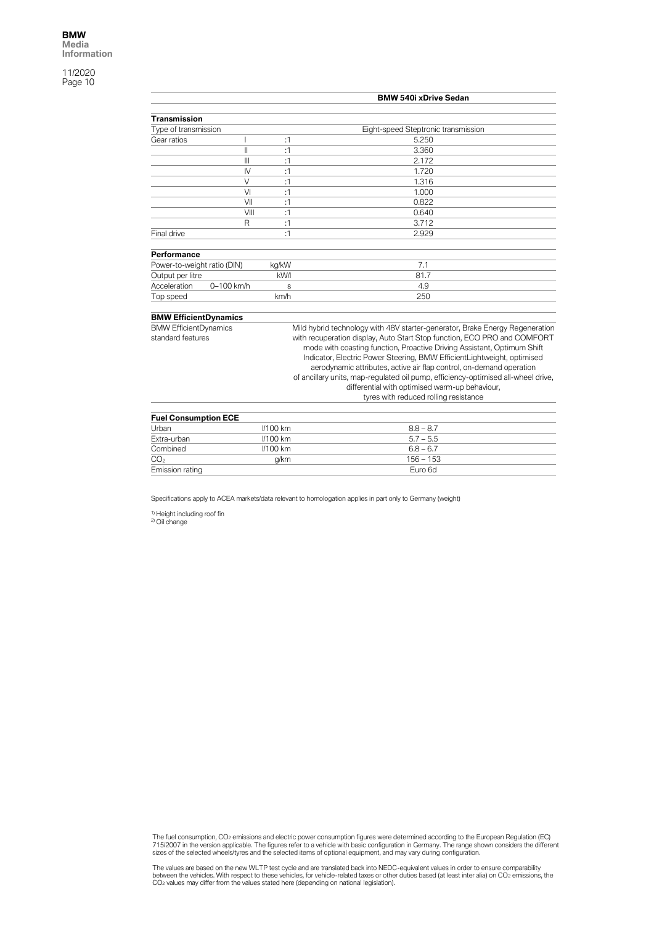|                                      |                |                 | <b>BMW 540i xDrive Sedan</b>                                                                                                                                                                                                                                                                                                                                                                                                                                                           |
|--------------------------------------|----------------|-----------------|----------------------------------------------------------------------------------------------------------------------------------------------------------------------------------------------------------------------------------------------------------------------------------------------------------------------------------------------------------------------------------------------------------------------------------------------------------------------------------------|
| <b>Transmission</b>                  |                |                 |                                                                                                                                                                                                                                                                                                                                                                                                                                                                                        |
| Type of transmission                 |                |                 | Eight-speed Steptronic transmission                                                                                                                                                                                                                                                                                                                                                                                                                                                    |
| Gear ratios                          |                | :1              | 5.250                                                                                                                                                                                                                                                                                                                                                                                                                                                                                  |
|                                      | Ш              | :1              | 3.360                                                                                                                                                                                                                                                                                                                                                                                                                                                                                  |
|                                      | $\mathbf{III}$ | :1              | 2.172                                                                                                                                                                                                                                                                                                                                                                                                                                                                                  |
|                                      | $\mathsf{IV}$  | :1              | 1.720                                                                                                                                                                                                                                                                                                                                                                                                                                                                                  |
|                                      | $\vee$         | :1              | 1.316                                                                                                                                                                                                                                                                                                                                                                                                                                                                                  |
|                                      | VI             | :1              | 1.000                                                                                                                                                                                                                                                                                                                                                                                                                                                                                  |
|                                      | VII            | :1              | 0.822                                                                                                                                                                                                                                                                                                                                                                                                                                                                                  |
|                                      | VIII           | :1              | 0.640                                                                                                                                                                                                                                                                                                                                                                                                                                                                                  |
|                                      | R              | :1              | 3.712                                                                                                                                                                                                                                                                                                                                                                                                                                                                                  |
| Final drive                          |                | :1              | 2.929                                                                                                                                                                                                                                                                                                                                                                                                                                                                                  |
| Performance                          |                |                 |                                                                                                                                                                                                                                                                                                                                                                                                                                                                                        |
| Power-to-weight ratio (DIN)          |                | kg/kW           | 7.1                                                                                                                                                                                                                                                                                                                                                                                                                                                                                    |
| Output per litre                     |                | kW/I            | 81.7                                                                                                                                                                                                                                                                                                                                                                                                                                                                                   |
| Acceleration                         | 0-100 km/h     | S               | 4.9                                                                                                                                                                                                                                                                                                                                                                                                                                                                                    |
| Top speed                            |                | km/h            | 250                                                                                                                                                                                                                                                                                                                                                                                                                                                                                    |
| <b>BMW EfficientDynamics</b>         |                |                 |                                                                                                                                                                                                                                                                                                                                                                                                                                                                                        |
| <b>BMW EfficientDynamics</b>         |                |                 | Mild hybrid technology with 48V starter-generator, Brake Energy Regeneration                                                                                                                                                                                                                                                                                                                                                                                                           |
| standard features                    |                |                 | with recuperation display, Auto Start Stop function, ECO PRO and COMFORT<br>mode with coasting function, Proactive Driving Assistant, Optimum Shift<br>Indicator, Electric Power Steering, BMW EfficientLightweight, optimised<br>aerodynamic attributes, active air flap control, on-demand operation<br>of ancillary units, map-regulated oil pump, efficiency-optimised all-wheel drive,<br>differential with optimised warm-up behaviour,<br>tyres with reduced rolling resistance |
|                                      |                |                 |                                                                                                                                                                                                                                                                                                                                                                                                                                                                                        |
| <b>Fuel Consumption ECE</b><br>Urban |                | <b>//100 km</b> | $8.8 - 8.7$                                                                                                                                                                                                                                                                                                                                                                                                                                                                            |
| Extra-urban                          |                | <b>//100 km</b> | $5.7 - 5.5$                                                                                                                                                                                                                                                                                                                                                                                                                                                                            |
|                                      |                |                 | $6.8 - 6.7$                                                                                                                                                                                                                                                                                                                                                                                                                                                                            |
| Combined                             |                | <b>//100 km</b> |                                                                                                                                                                                                                                                                                                                                                                                                                                                                                        |
| CO <sub>2</sub>                      |                | g/km            | $156 - 153$                                                                                                                                                                                                                                                                                                                                                                                                                                                                            |

Specifications apply to ACEA markets/data relevant to homologation applies in part only to Germany (weight)

Emission rating Euro 6d

<sup>1)</sup> Height including roof fin<br><sup>2)</sup> Oil change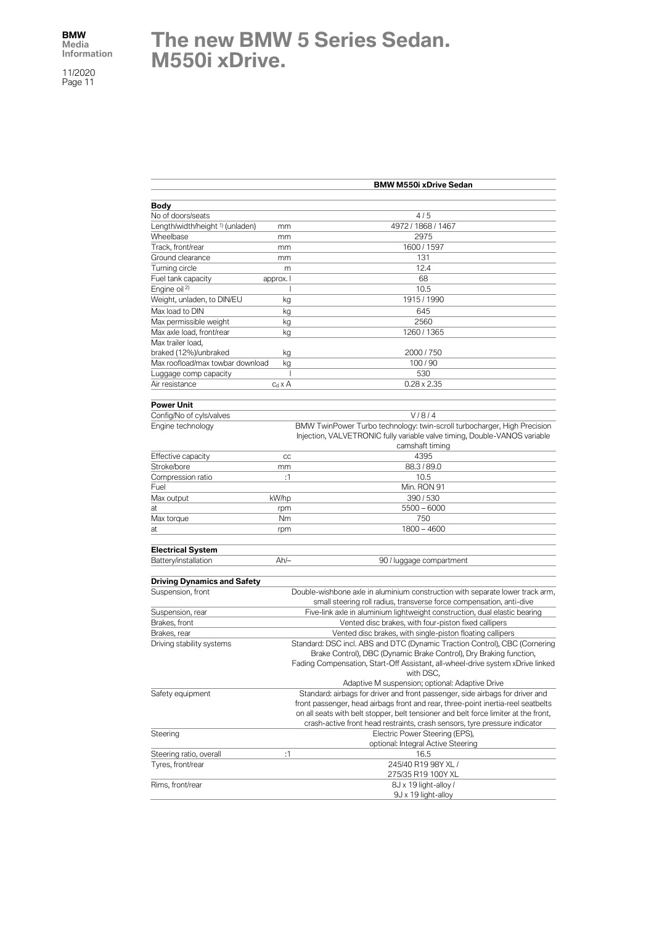## **The new BMW 5 Series Sedan. M550i xDrive.**

| <b>Body</b><br>No of doors/seats<br>4/5<br>Length/width/height <sup>1)</sup> (unladen)<br>4972 / 1868 / 1467<br>mm<br>Wheelbase<br>2975<br>mm<br>Track, front/rear<br>1600 / 1597<br>mm<br>Ground clearance<br>131<br>mm<br>Turning circle<br>12.4<br>m<br>Fuel tank capacity<br>68<br>approx. I |  |
|--------------------------------------------------------------------------------------------------------------------------------------------------------------------------------------------------------------------------------------------------------------------------------------------------|--|
|                                                                                                                                                                                                                                                                                                  |  |
|                                                                                                                                                                                                                                                                                                  |  |
|                                                                                                                                                                                                                                                                                                  |  |
|                                                                                                                                                                                                                                                                                                  |  |
|                                                                                                                                                                                                                                                                                                  |  |
|                                                                                                                                                                                                                                                                                                  |  |
|                                                                                                                                                                                                                                                                                                  |  |
|                                                                                                                                                                                                                                                                                                  |  |
|                                                                                                                                                                                                                                                                                                  |  |
| Engine oil <sup>2)</sup><br>10.5                                                                                                                                                                                                                                                                 |  |
| Weight, unladen, to DIN/EU<br>1915 / 1990<br>kg                                                                                                                                                                                                                                                  |  |
| Max load to DIN<br>645<br>kg                                                                                                                                                                                                                                                                     |  |
| Max permissible weight<br>2560<br>kg                                                                                                                                                                                                                                                             |  |
| Max axle load, front/rear<br>1260 / 1365<br>kg                                                                                                                                                                                                                                                   |  |
| Max trailer load,                                                                                                                                                                                                                                                                                |  |
| braked (12%)/unbraked<br>2000 / 750<br>kg                                                                                                                                                                                                                                                        |  |
| Max roofload/max towbar download<br>100/90<br>kg                                                                                                                                                                                                                                                 |  |
| 530<br>Luggage comp capacity<br>I                                                                                                                                                                                                                                                                |  |
| Air resistance<br>$c_d \times A$<br>$0.28 \times 2.35$                                                                                                                                                                                                                                           |  |
| <b>Power Unit</b>                                                                                                                                                                                                                                                                                |  |
| V/8/4<br>Config/No of cyls/valves                                                                                                                                                                                                                                                                |  |
| BMW TwinPower Turbo technology: twin-scroll turbocharger, High Precision<br>Engine technology                                                                                                                                                                                                    |  |
| Injection, VALVETRONIC fully variable valve timing, Double-VANOS variable<br>camshaft timing                                                                                                                                                                                                     |  |
| 4395<br>Effective capacity<br>cc                                                                                                                                                                                                                                                                 |  |
| Stroke/bore<br>88.3/89.0                                                                                                                                                                                                                                                                         |  |
| mm<br>Compression ratio<br>:1<br>10.5                                                                                                                                                                                                                                                            |  |
| Fuel<br>Min. RON 91                                                                                                                                                                                                                                                                              |  |
| kW/hp<br>390/530<br>Max output                                                                                                                                                                                                                                                                   |  |
| $5500 - 6000$<br>at                                                                                                                                                                                                                                                                              |  |
| rpm<br>750<br>Max torque<br>Nm                                                                                                                                                                                                                                                                   |  |
| $1800 - 4600$<br>at<br>rpm                                                                                                                                                                                                                                                                       |  |
|                                                                                                                                                                                                                                                                                                  |  |
| <b>Electrical System</b>                                                                                                                                                                                                                                                                         |  |
| Battery/installation<br>$Ah/-$<br>90 / luggage compartment                                                                                                                                                                                                                                       |  |
|                                                                                                                                                                                                                                                                                                  |  |
| <b>Driving Dynamics and Safety</b>                                                                                                                                                                                                                                                               |  |
| Suspension, front<br>Double-wishbone axle in aluminium construction with separate lower track arm,                                                                                                                                                                                               |  |
| small steering roll radius, transverse force compensation, anti-dive                                                                                                                                                                                                                             |  |
| Suspension, rear<br>Five-link axle in aluminium lightweight construction, dual elastic bearing<br>Brakes, front<br>Vented disc brakes, with four-piston fixed callipers                                                                                                                          |  |
| Vented disc brakes, with single-piston floating callipers                                                                                                                                                                                                                                        |  |
| Brakes, rear<br>Standard: DSC incl. ABS and DTC (Dynamic Traction Control), CBC (Cornering<br>Driving stability systems                                                                                                                                                                          |  |
| Brake Control), DBC (Dynamic Brake Control), Dry Braking function,                                                                                                                                                                                                                               |  |
| Fading Compensation, Start-Off Assistant, all-wheel-drive system xDrive linked                                                                                                                                                                                                                   |  |
| with DSC,                                                                                                                                                                                                                                                                                        |  |
| Adaptive M suspension; optional: Adaptive Drive                                                                                                                                                                                                                                                  |  |
| Standard: airbags for driver and front passenger, side airbags for driver and<br>Safety equipment                                                                                                                                                                                                |  |
| front passenger, head airbags front and rear, three-point inertia-reel seatbelts                                                                                                                                                                                                                 |  |
| on all seats with belt stopper, belt tensioner and belt force limiter at the front,                                                                                                                                                                                                              |  |
| crash-active front head restraints, crash sensors, tyre pressure indicator                                                                                                                                                                                                                       |  |
| Steering<br>Electric Power Steering (EPS),                                                                                                                                                                                                                                                       |  |
| optional: Integral Active Steering                                                                                                                                                                                                                                                               |  |
| Steering ratio, overall<br>:1<br>16.5                                                                                                                                                                                                                                                            |  |
| 245/40 R19 98Y XL /<br>Tyres, front/rear                                                                                                                                                                                                                                                         |  |
| 275/35 R19 100Y XL                                                                                                                                                                                                                                                                               |  |
| Rims, front/rear<br>8J x 19 light-alloy /                                                                                                                                                                                                                                                        |  |
| 9J x 19 light-alloy                                                                                                                                                                                                                                                                              |  |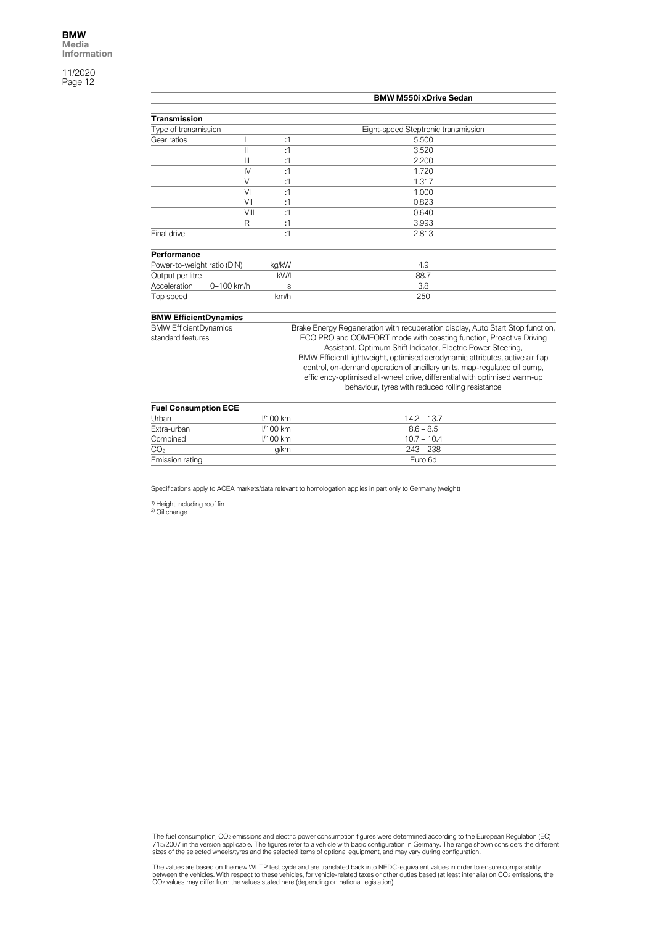|                              |              |                                                                    | <b>BMW M550i xDrive Sedan</b>                                                  |  |
|------------------------------|--------------|--------------------------------------------------------------------|--------------------------------------------------------------------------------|--|
|                              |              |                                                                    |                                                                                |  |
| <b>Transmission</b>          |              |                                                                    |                                                                                |  |
| Type of transmission         |              |                                                                    | Eight-speed Steptronic transmission                                            |  |
| Gear ratios                  |              | :1                                                                 | 5.500                                                                          |  |
|                              | $\mathbf{I}$ | :1                                                                 | 3.520                                                                          |  |
|                              | Ш            | :1                                                                 | 2.200                                                                          |  |
|                              | $\mathsf{N}$ | :1                                                                 | 1.720                                                                          |  |
|                              | $\vee$       | :1                                                                 | 1.317                                                                          |  |
|                              | VI           | :1                                                                 | 1.000                                                                          |  |
|                              | VII          | :1                                                                 | 0.823                                                                          |  |
|                              | VIII         | :1                                                                 | 0.640                                                                          |  |
|                              | R            | :1                                                                 | 3.993                                                                          |  |
| Final drive                  |              | :1                                                                 | 2.813                                                                          |  |
| Performance                  |              |                                                                    |                                                                                |  |
| Power-to-weight ratio (DIN)  |              | kg/kW                                                              | 4.9                                                                            |  |
| Output per litre             |              | kW/l                                                               | 88.7                                                                           |  |
| Acceleration                 | 0-100 km/h   | S                                                                  | 3.8                                                                            |  |
| Top speed                    |              | km/h                                                               | 250                                                                            |  |
| <b>BMW EfficientDynamics</b> |              |                                                                    |                                                                                |  |
| <b>BMW EfficientDynamics</b> |              |                                                                    | Brake Energy Regeneration with recuperation display, Auto Start Stop function, |  |
| standard features            |              | ECO PRO and COMFORT mode with coasting function, Proactive Driving |                                                                                |  |
|                              |              |                                                                    | Assistant, Optimum Shift Indicator, Electric Power Steering,                   |  |
|                              |              |                                                                    | BMW EfficientLightweight, optimised aerodynamic attributes, active air flap    |  |
|                              |              |                                                                    | control, on-demand operation of ancillary units, map-regulated oil pump,       |  |
|                              |              |                                                                    | efficiency-optimised all-wheel drive, differential with optimised warm-up      |  |
|                              |              |                                                                    | behaviour, tyres with reduced rolling resistance                               |  |
|                              |              |                                                                    |                                                                                |  |
| <b>Fuel Consumption ECE</b>  |              |                                                                    |                                                                                |  |
|                              |              |                                                                    |                                                                                |  |

| <b>Fuel Consumption ECE</b> |            |               |  |
|-----------------------------|------------|---------------|--|
| Urban                       | $1/100$ km | $14.2 - 13.7$ |  |
| Extra-urban                 | $1/100$ km | $8.6 - 8.5$   |  |
| Combined                    | $1/100$ km | $10.7 - 10.4$ |  |
| CO <sub>2</sub>             | a/km       | $243 - 238$   |  |
| Emission rating             |            | Euro 6d       |  |

Specifications apply to ACEA markets/data relevant to homologation applies in part only to Germany (weight)

<sup>1)</sup> Height including roof fin<br><sup>2)</sup> Oil change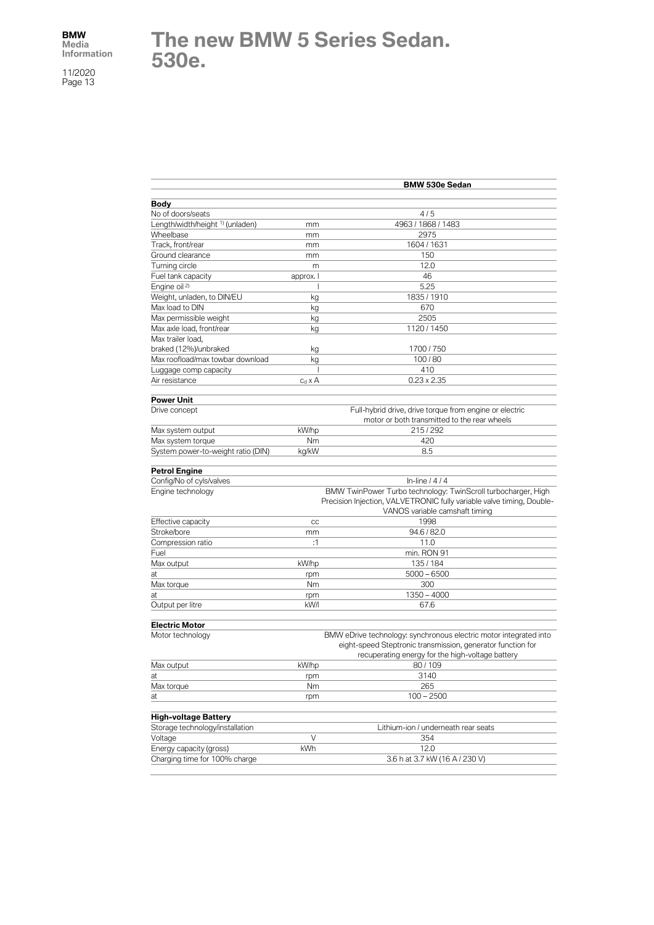## **The new BMW 5 Series Sedan. 530e.**

|                                             |                | <b>BMW 530e Sedan</b>                                                                                   |
|---------------------------------------------|----------------|---------------------------------------------------------------------------------------------------------|
|                                             |                |                                                                                                         |
| Body<br>No of doors/seats                   |                | 4/5                                                                                                     |
| Length/width/height <sup>1)</sup> (unladen) | mm             | 4963 / 1868 / 1483                                                                                      |
| Wheelbase                                   | mm             | 2975                                                                                                    |
| Track, front/rear                           | mm             | 1604 / 1631                                                                                             |
| Ground clearance                            | mm             | 150                                                                                                     |
| Turning circle                              | m              | 12.0                                                                                                    |
| Fuel tank capacity                          | approx. I      | 46                                                                                                      |
| Engine oil <sup>2)</sup>                    |                | 5.25                                                                                                    |
| Weight, unladen, to DIN/EU                  | kg             | 1835 / 1910                                                                                             |
| Max load to DIN                             | kg             | 670                                                                                                     |
| Max permissible weight                      | kg             | 2505                                                                                                    |
| Max axle load, front/rear                   | kg             | 1120 / 1450                                                                                             |
| Max trailer load,                           |                |                                                                                                         |
| braked (12%)/unbraked                       | kg             | 1700 / 750                                                                                              |
| Max roofload/max towbar download            | kg             | 100/80                                                                                                  |
| Luggage comp capacity                       |                | 410                                                                                                     |
| Air resistance                              | $c_d \times A$ | $0.23 \times 2.35$                                                                                      |
|                                             |                |                                                                                                         |
| <b>Power Unit</b>                           |                |                                                                                                         |
| Drive concept                               |                | Full-hybrid drive, drive torque from engine or electric<br>motor or both transmitted to the rear wheels |
| Max system output                           | kW/hp          | 215/292                                                                                                 |
| Max system torque                           | Nm             | 420                                                                                                     |
| System power-to-weight ratio (DIN)          | kg/kW          | 8.5                                                                                                     |
|                                             |                |                                                                                                         |
| <b>Petrol Engine</b>                        |                |                                                                                                         |
| Config/No of cyls/valves                    |                | In-line $/4/4$                                                                                          |
| Engine technology                           |                | BMW TwinPower Turbo technology: TwinScroll turbocharger, High                                           |
|                                             |                | Precision Injection, VALVETRONIC fully variable valve timing, Double-<br>VANOS variable camshaft timing |
|                                             |                | 1998                                                                                                    |
| Effective capacity<br>Stroke/bore           | cc             | 94.6 / 82.0                                                                                             |
| Compression ratio                           | mm<br>:1       | 11.0                                                                                                    |
|                                             |                |                                                                                                         |
| Fuel<br>Max output                          | kW/hp          | min. RON 91<br>135/184                                                                                  |
| at                                          |                | $5000 - 6500$                                                                                           |
|                                             | rpm<br>Nm      | 300                                                                                                     |
| Max torque<br>at                            |                | $1350 - 4000$                                                                                           |
| Output per litre                            | rpm<br>kW/I    | 67.6                                                                                                    |
|                                             |                |                                                                                                         |
| <b>Electric Motor</b>                       |                |                                                                                                         |
| Motor technology                            |                | BMW eDrive technology: synchronous electric motor integrated into                                       |
|                                             |                | eight-speed Steptronic transmission, generator function for                                             |
|                                             |                | recuperating energy for the high-voltage battery                                                        |
| Max output                                  | kW/hp          | 80/109                                                                                                  |
| at                                          | rpm            | 3140                                                                                                    |
| Max torque                                  | Nm             | 265                                                                                                     |
| at                                          | rpm            | $100 - 2500$                                                                                            |
| <b>High-voltage Battery</b>                 |                |                                                                                                         |
| Storage technology/installation             |                | Lithium-ion / underneath rear seats                                                                     |
| Voltage                                     | V              | 354                                                                                                     |
| Energy capacity (gross)                     | kWh            | 12.0                                                                                                    |
| Charging time for 100% charge               |                | 3.6 h at 3.7 kW (16 A / 230 V)                                                                          |
|                                             |                |                                                                                                         |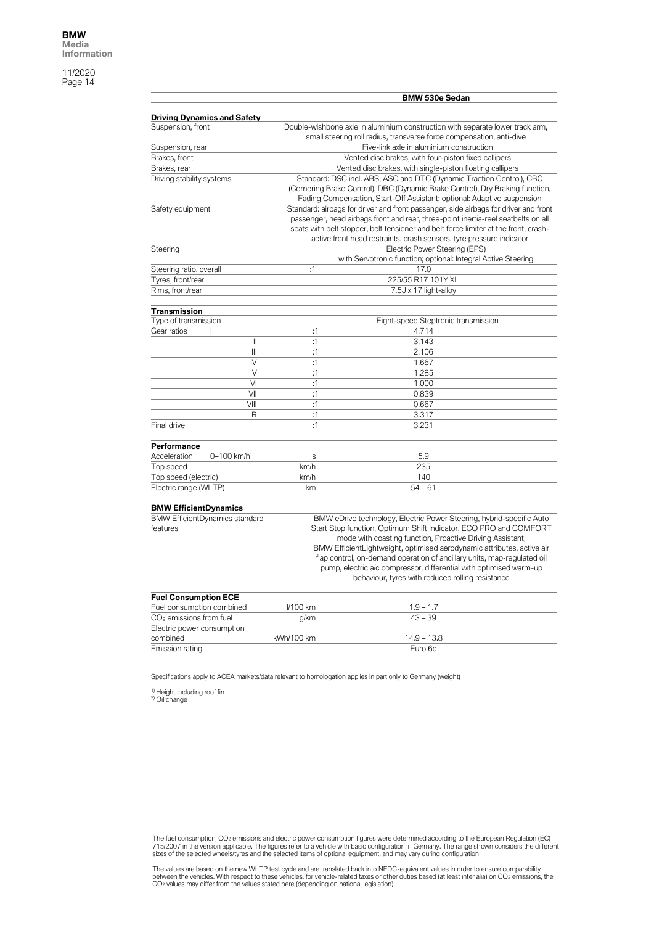|                                     |                                       |             | <b>BMW 530e Sedan</b>                                                                                                                                                                                                                                                                                                                                                                                                                                                                 |
|-------------------------------------|---------------------------------------|-------------|---------------------------------------------------------------------------------------------------------------------------------------------------------------------------------------------------------------------------------------------------------------------------------------------------------------------------------------------------------------------------------------------------------------------------------------------------------------------------------------|
|                                     |                                       |             |                                                                                                                                                                                                                                                                                                                                                                                                                                                                                       |
|                                     | <b>Driving Dynamics and Safety</b>    |             |                                                                                                                                                                                                                                                                                                                                                                                                                                                                                       |
| Suspension, front                   |                                       |             | Double-wishbone axle in aluminium construction with separate lower track arm,<br>small steering roll radius, transverse force compensation, anti-dive                                                                                                                                                                                                                                                                                                                                 |
| Suspension, rear                    |                                       |             | Five-link axle in aluminium construction                                                                                                                                                                                                                                                                                                                                                                                                                                              |
| Brakes, front                       |                                       |             | Vented disc brakes, with four-piston fixed callipers                                                                                                                                                                                                                                                                                                                                                                                                                                  |
| Brakes, rear                        |                                       |             | Vented disc brakes, with single-piston floating callipers                                                                                                                                                                                                                                                                                                                                                                                                                             |
| Driving stability systems           |                                       |             | Standard: DSC incl. ABS, ASC and DTC (Dynamic Traction Control), CBC                                                                                                                                                                                                                                                                                                                                                                                                                  |
|                                     |                                       |             | (Cornering Brake Control), DBC (Dynamic Brake Control), Dry Braking function,<br>Fading Compensation, Start-Off Assistant; optional: Adaptive suspension                                                                                                                                                                                                                                                                                                                              |
| Safety equipment                    |                                       |             | Standard: airbags for driver and front passenger, side airbags for driver and front                                                                                                                                                                                                                                                                                                                                                                                                   |
|                                     |                                       |             | passenger, head airbags front and rear, three-point inertia-reel seatbelts on all<br>seats with belt stopper, belt tensioner and belt force limiter at the front, crash-                                                                                                                                                                                                                                                                                                              |
|                                     |                                       |             | active front head restraints, crash sensors, tyre pressure indicator                                                                                                                                                                                                                                                                                                                                                                                                                  |
| Steering                            |                                       |             | Electric Power Steering (EPS)                                                                                                                                                                                                                                                                                                                                                                                                                                                         |
|                                     |                                       |             | with Servotronic function; optional: Integral Active Steering                                                                                                                                                                                                                                                                                                                                                                                                                         |
| Steering ratio, overall             |                                       | :1          | 17.0                                                                                                                                                                                                                                                                                                                                                                                                                                                                                  |
| Tyres, front/rear                   |                                       |             | 225/55 R17 101Y XL                                                                                                                                                                                                                                                                                                                                                                                                                                                                    |
| Rims, front/rear                    |                                       |             | 7.5J x 17 light-alloy                                                                                                                                                                                                                                                                                                                                                                                                                                                                 |
| <b>Transmission</b>                 |                                       |             |                                                                                                                                                                                                                                                                                                                                                                                                                                                                                       |
| Type of transmission                |                                       |             | Eight-speed Steptronic transmission                                                                                                                                                                                                                                                                                                                                                                                                                                                   |
| Gear ratios                         | L                                     | :1          | 4.714                                                                                                                                                                                                                                                                                                                                                                                                                                                                                 |
|                                     | II                                    | :1          | 3.143                                                                                                                                                                                                                                                                                                                                                                                                                                                                                 |
|                                     | $\mathbf{III}$                        | :1          | 2.106                                                                                                                                                                                                                                                                                                                                                                                                                                                                                 |
|                                     | IV                                    | :1          | 1.667                                                                                                                                                                                                                                                                                                                                                                                                                                                                                 |
|                                     | V                                     | :1          | 1.285                                                                                                                                                                                                                                                                                                                                                                                                                                                                                 |
|                                     | VI                                    | :1          | 1.000                                                                                                                                                                                                                                                                                                                                                                                                                                                                                 |
|                                     | VII                                   | :1          | 0.839                                                                                                                                                                                                                                                                                                                                                                                                                                                                                 |
|                                     | VIII                                  | :1          | 0.667                                                                                                                                                                                                                                                                                                                                                                                                                                                                                 |
|                                     | R                                     | :1          | 3.317                                                                                                                                                                                                                                                                                                                                                                                                                                                                                 |
| Final drive                         |                                       | :1          | 3.231                                                                                                                                                                                                                                                                                                                                                                                                                                                                                 |
| Performance                         |                                       |             |                                                                                                                                                                                                                                                                                                                                                                                                                                                                                       |
| Acceleration                        | 0-100 km/h                            | $\mathbf S$ | 5.9                                                                                                                                                                                                                                                                                                                                                                                                                                                                                   |
| Top speed                           |                                       | km/h        | 235                                                                                                                                                                                                                                                                                                                                                                                                                                                                                   |
| Top speed (electric)                |                                       | km/h        | 140                                                                                                                                                                                                                                                                                                                                                                                                                                                                                   |
| Electric range (WLTP)               |                                       | km          | $54 - 61$                                                                                                                                                                                                                                                                                                                                                                                                                                                                             |
| <b>BMW EfficientDynamics</b>        |                                       |             |                                                                                                                                                                                                                                                                                                                                                                                                                                                                                       |
| features                            | <b>BMW EfficientDynamics standard</b> |             | BMW eDrive technology, Electric Power Steering, hybrid-specific Auto<br>Start Stop function, Optimum Shift Indicator, ECO PRO and COMFORT<br>mode with coasting function, Proactive Driving Assistant,<br>BMW EfficientLightweight, optimised aerodynamic attributes, active air<br>flap control, on-demand operation of ancillary units, map-regulated oil<br>pump, electric a/c compressor, differential with optimised warm-up<br>behaviour, tyres with reduced rolling resistance |
| <b>Fuel Consumption ECE</b>         |                                       |             |                                                                                                                                                                                                                                                                                                                                                                                                                                                                                       |
| Fuel consumption combined           |                                       | I/100 km    | $1.9 - 1.7$                                                                                                                                                                                                                                                                                                                                                                                                                                                                           |
| CO <sub>2</sub> emissions from fuel |                                       | g/km        | $43 - 39$                                                                                                                                                                                                                                                                                                                                                                                                                                                                             |
| Electric power consumption          |                                       |             |                                                                                                                                                                                                                                                                                                                                                                                                                                                                                       |
| combined                            |                                       | kWh/100 km  | $14.9 - 13.8$                                                                                                                                                                                                                                                                                                                                                                                                                                                                         |
|                                     |                                       |             |                                                                                                                                                                                                                                                                                                                                                                                                                                                                                       |

Specifications apply to ACEA markets/data relevant to homologation applies in part only to Germany (weight)

<sup>1)</sup> Height including roof fin<br><sup>2)</sup> Oil change

The fuel consumption, CO2 emissions and electric power consumption figures were determined according to the European Regulation (EC)<br>715/2007 in the version applicable. The figures refer to a vehicle with basic configurati

The values are based on the new WLTP test cycle and are translated back into NEDC-equivalent values in order to ensure comparability<br>between the vehicles. With respect to these vehicles, for vehicle-related taxes or other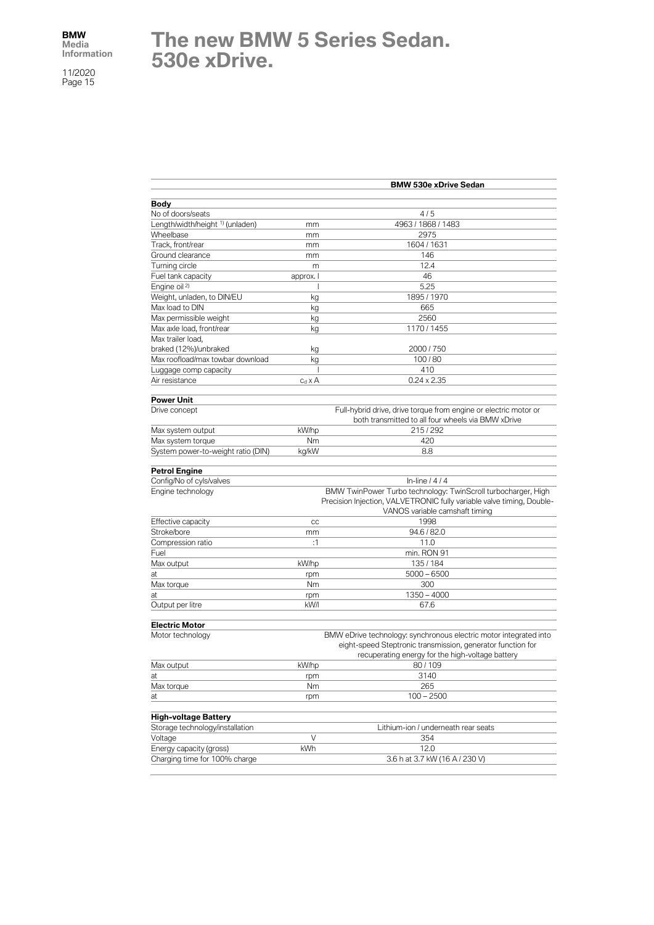## **The new BMW 5 Series Sedan. 530e xDrive.**

|                                             |                | <b>BMW 530e xDrive Sedan</b>                                                                                                           |
|---------------------------------------------|----------------|----------------------------------------------------------------------------------------------------------------------------------------|
| Body                                        |                |                                                                                                                                        |
| No of doors/seats                           |                | 4/5                                                                                                                                    |
| Length/width/height <sup>1)</sup> (unladen) | mm             | 4963 / 1868 / 1483                                                                                                                     |
| Wheelbase                                   | mm             | 2975                                                                                                                                   |
| Track, front/rear                           | mm             | 1604 / 1631                                                                                                                            |
| Ground clearance                            | mm             | 146                                                                                                                                    |
| Turning circle                              | m              | 12.4                                                                                                                                   |
| Fuel tank capacity                          | approx. I      | 46                                                                                                                                     |
| Engine oil <sup>2)</sup>                    | ı              | 5.25                                                                                                                                   |
| Weight, unladen, to DIN/EU                  | kg             | 1895 / 1970                                                                                                                            |
| Max load to DIN                             | kg             | 665                                                                                                                                    |
| Max permissible weight                      | kg             | 2560                                                                                                                                   |
| Max axle load, front/rear                   | kg             | 1170 / 1455                                                                                                                            |
| Max trailer load,                           |                |                                                                                                                                        |
| braked (12%)/unbraked                       | kg             | 2000 / 750                                                                                                                             |
| Max roofload/max towbar download            | kg             | 100/80                                                                                                                                 |
| Luggage comp capacity                       |                | 410                                                                                                                                    |
| Air resistance                              | $c_d \times A$ | $0.24 \times 2.35$                                                                                                                     |
|                                             |                |                                                                                                                                        |
| <b>Power Unit</b>                           |                |                                                                                                                                        |
| Drive concept                               |                | Full-hybrid drive, drive torque from engine or electric motor or<br>both transmitted to all four wheels via BMW xDrive                 |
| Max system output                           | kW/hp          | 215/292                                                                                                                                |
| Max system torque                           | Nm             | 420                                                                                                                                    |
| System power-to-weight ratio (DIN)          | kg/kW          | 8.8                                                                                                                                    |
|                                             |                |                                                                                                                                        |
| <b>Petrol Engine</b>                        |                | In-line $1414$                                                                                                                         |
| Config/No of cyls/valves                    |                |                                                                                                                                        |
| Engine technology                           |                | BMW TwinPower Turbo technology: TwinScroll turbocharger, High<br>Precision Injection, VALVETRONIC fully variable valve timing, Double- |
|                                             |                | VANOS variable camshaft timing                                                                                                         |
| Effective capacity                          | CC             | 1998                                                                                                                                   |
| Stroke/bore                                 | mm             | 94.6 / 82.0                                                                                                                            |
| Compression ratio                           | :1             | 11.0                                                                                                                                   |
| Fuel                                        |                | min. RON 91                                                                                                                            |
| Max output                                  | kW/hp          | 135/184                                                                                                                                |
| at                                          | rpm            | $5000 - 6500$                                                                                                                          |
| Max torque                                  | Nm             | 300                                                                                                                                    |
| at                                          | rpm            | $1350 - 4000$                                                                                                                          |
| Output per litre                            | kW/I           | 67.6                                                                                                                                   |
|                                             |                |                                                                                                                                        |
| <b>Electric Motor</b>                       |                |                                                                                                                                        |
| Motor technology                            |                | BMW eDrive technology: synchronous electric motor integrated into<br>eight-speed Steptronic transmission, generator function for       |
|                                             |                | recuperating energy for the high-voltage battery                                                                                       |
| Max output                                  | kW/hp          | 80/109                                                                                                                                 |
| at                                          | rpm            | 3140                                                                                                                                   |
| Max torque                                  | Nm             | 265                                                                                                                                    |
| at                                          | rpm            | $100 - 2500$                                                                                                                           |
| <b>High-voltage Battery</b>                 |                |                                                                                                                                        |
| Storage technology/installation             |                | Lithium-ion / underneath rear seats                                                                                                    |
| Voltage                                     | V              | 354                                                                                                                                    |
| Energy capacity (gross)                     | kWh            | 12.0                                                                                                                                   |
| Charging time for 100% charge               |                | 3.6 h at 3.7 kW (16 A / 230 V)                                                                                                         |
|                                             |                |                                                                                                                                        |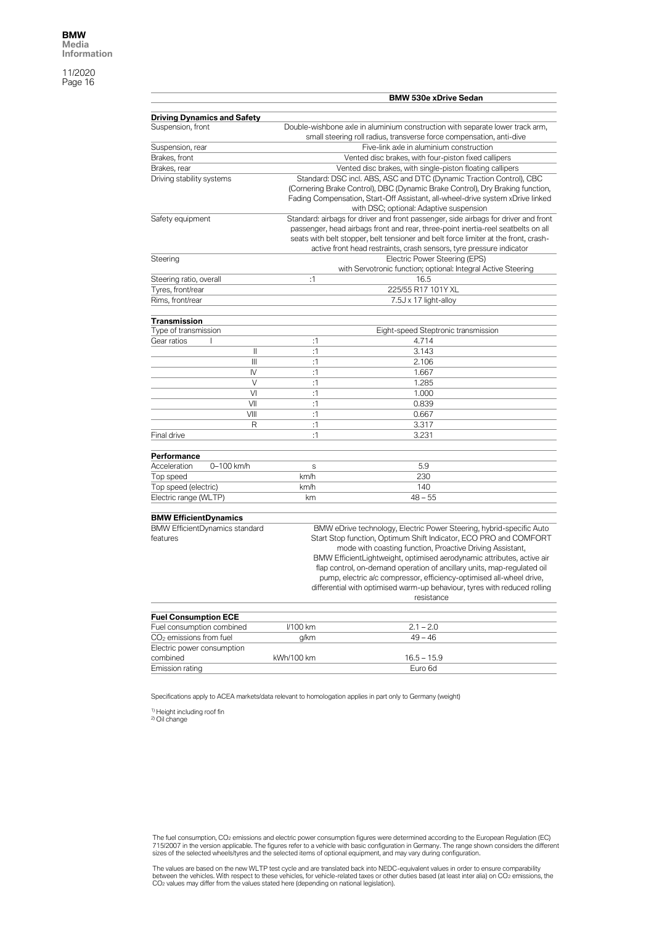|                                                         |            | <b>BMW 530e xDrive Sedan</b>                                                        |
|---------------------------------------------------------|------------|-------------------------------------------------------------------------------------|
|                                                         |            |                                                                                     |
| <b>Driving Dynamics and Safety</b><br>Suspension, front |            | Double-wishbone axle in aluminium construction with separate lower track arm,       |
|                                                         |            | small steering roll radius, transverse force compensation, anti-dive                |
| Suspension, rear                                        |            | Five-link axle in aluminium construction                                            |
| Brakes, front                                           |            | Vented disc brakes, with four-piston fixed callipers                                |
| Brakes, rear                                            |            | Vented disc brakes, with single-piston floating callipers                           |
| Driving stability systems                               |            | Standard: DSC incl. ABS, ASC and DTC (Dynamic Traction Control), CBC                |
|                                                         |            | (Cornering Brake Control), DBC (Dynamic Brake Control), Dry Braking function,       |
|                                                         |            | Fading Compensation, Start-Off Assistant, all-wheel-drive system xDrive linked      |
|                                                         |            | with DSC; optional: Adaptive suspension                                             |
| Safety equipment                                        |            | Standard: airbags for driver and front passenger, side airbags for driver and front |
|                                                         |            | passenger, head airbags front and rear, three-point inertia-reel seatbelts on all   |
|                                                         |            | seats with belt stopper, belt tensioner and belt force limiter at the front, crash- |
|                                                         |            | active front head restraints, crash sensors, tyre pressure indicator                |
| Steering                                                |            | Electric Power Steering (EPS)                                                       |
|                                                         |            | with Servotronic function; optional: Integral Active Steering                       |
| Steering ratio, overall                                 | :1         | 16.5                                                                                |
| Tyres, front/rear                                       |            | 225/55 R17 101Y XL                                                                  |
| Rims, front/rear                                        |            | 7.5J x 17 light-alloy                                                               |
|                                                         |            |                                                                                     |
| Transmission                                            |            |                                                                                     |
| Type of transmission                                    |            | Eight-speed Steptronic transmission                                                 |
| Gear ratios                                             | :1         | 4.714                                                                               |
| Ш                                                       | :1         | 3.143                                                                               |
| Ш                                                       | :1         | 2.106                                                                               |
| IV                                                      | :1         | 1.667                                                                               |
| $\vee$                                                  | :1         | 1.285                                                                               |
| VI                                                      | :1         | 1.000                                                                               |
| VII                                                     | :1         | 0.839                                                                               |
| VIII                                                    | :1         | 0.667                                                                               |
| R                                                       | :1         | 3.317                                                                               |
| Final drive                                             | :1         | 3.231                                                                               |
|                                                         |            |                                                                                     |
| Performance                                             |            |                                                                                     |
| Acceleration<br>0-100 km/h                              | S          | 5.9                                                                                 |
| Top speed                                               | km/h       | 230                                                                                 |
| Top speed (electric)                                    | km/h       | 140                                                                                 |
| Electric range (WLTP)                                   | km         | $48 - 55$                                                                           |
|                                                         |            |                                                                                     |
| <b>BMW EfficientDynamics</b>                            |            |                                                                                     |
| <b>BMW EfficientDynamics standard</b>                   |            | BMW eDrive technology, Electric Power Steering, hybrid-specific Auto                |
| features                                                |            | Start Stop function, Optimum Shift Indicator, ECO PRO and COMFORT                   |
|                                                         |            | mode with coasting function, Proactive Driving Assistant,                           |
|                                                         |            | BMW EfficientLightweight, optimised aerodynamic attributes, active air              |
|                                                         |            | flap control, on-demand operation of ancillary units, map-regulated oil             |
|                                                         |            | pump, electric a/c compressor, efficiency-optimised all-wheel drive,                |
|                                                         |            | differential with optimised warm-up behaviour, tyres with reduced rolling           |
|                                                         |            | resistance                                                                          |
|                                                         |            |                                                                                     |
| <b>Fuel Consumption ECE</b>                             |            |                                                                                     |
| Fuel consumption combined                               | I/100 km   | $2.1 - 2.0$                                                                         |
| CO <sub>2</sub> emissions from fuel                     | g/km       | $49 - 46$                                                                           |
| Electric power consumption                              |            |                                                                                     |
| combined                                                | kWh/100 km | $16.5 - 15.9$                                                                       |
| Emission rating                                         |            | Euro 6d                                                                             |

Specifications apply to ACEA markets/data relevant to homologation applies in part only to Germany (weight)

<sup>1)</sup> Height including roof fin<br><sup>2)</sup> Oil change

The fuel consumption, CO2 emissions and electric power consumption figures were determined according to the European Regulation (EC)<br>715/2007 in the version applicable. The figures refer to a vehicle with basic configurati

The values are based on the new WLTP test cycle and are translated back into NEDC-equivalent values in order to ensure comparability<br>between the vehicles. With respect to these vehicles, for vehicle-related taxes or other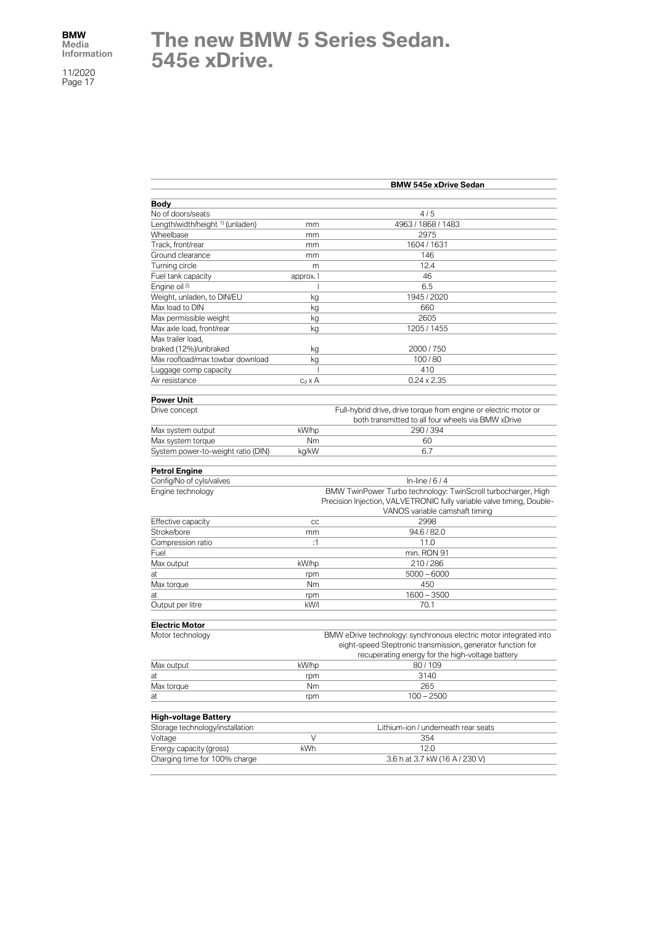## **The new BMW 5 Series Sedan. 545e xDrive.**

|                                             |                | <b>BMW 545e xDrive Sedan</b>                                                                                                                                             |
|---------------------------------------------|----------------|--------------------------------------------------------------------------------------------------------------------------------------------------------------------------|
| <b>Body</b>                                 |                |                                                                                                                                                                          |
| No of doors/seats                           |                | 4/5                                                                                                                                                                      |
| Length/width/height <sup>1)</sup> (unladen) | mm             | 4963 / 1868 / 1483                                                                                                                                                       |
| Wheelbase                                   | mm             | 2975                                                                                                                                                                     |
| Track, front/rear                           | mm             | 1604 / 1631                                                                                                                                                              |
| Ground clearance                            | mm             | 146                                                                                                                                                                      |
| Turning circle                              | m              | 12.4                                                                                                                                                                     |
| Fuel tank capacity                          | approx. I      | 46                                                                                                                                                                       |
| Engine oil <sup>2)</sup>                    |                | 6.5                                                                                                                                                                      |
| Weight, unladen, to DIN/EU                  | kg             | 1945 / 2020                                                                                                                                                              |
| Max load to DIN                             | kg             | 660                                                                                                                                                                      |
| Max permissible weight                      | kg             | 2605                                                                                                                                                                     |
| Max axle load, front/rear                   | kg             | 1205 / 1455                                                                                                                                                              |
| Max trailer load,                           |                |                                                                                                                                                                          |
| braked (12%)/unbraked                       | kg             | 2000 / 750                                                                                                                                                               |
| Max roofload/max towbar download            | kg             | 100/80                                                                                                                                                                   |
| Luggage comp capacity                       | Т              | 410                                                                                                                                                                      |
| Air resistance                              | $c_d \times A$ | $0.24 \times 2.35$                                                                                                                                                       |
| <b>Power Unit</b>                           |                |                                                                                                                                                                          |
| Drive concept                               |                | Full-hybrid drive, drive torque from engine or electric motor or<br>both transmitted to all four wheels via BMW xDrive                                                   |
| Max system output                           | kW/hp          | 290/394                                                                                                                                                                  |
| Max system torque                           | Nm             | 60                                                                                                                                                                       |
| System power-to-weight ratio (DIN)          | kg/kW          | 6.7                                                                                                                                                                      |
| <b>Petrol Engine</b>                        |                |                                                                                                                                                                          |
| Config/No of cyls/valves                    |                | In-line $/6/4$                                                                                                                                                           |
| Engine technology                           |                | BMW TwinPower Turbo technology: TwinScroll turbocharger, High<br>Precision Injection, VALVETRONIC fully variable valve timing, Double-<br>VANOS variable camshaft timing |
| Effective capacity                          |                | 2998                                                                                                                                                                     |
| Stroke/bore                                 | cc             | 94.6 / 82.0                                                                                                                                                              |
| Compression ratio                           | mm<br>:1       | 11.0                                                                                                                                                                     |
| Fuel                                        |                | min. RON 91                                                                                                                                                              |
| Max output                                  | kW/hp          | 210/286                                                                                                                                                                  |
| at                                          | rpm            | $5000 - 6000$                                                                                                                                                            |
| Max torque                                  | Nm             | 450                                                                                                                                                                      |
|                                             |                | $1600 - 3500$                                                                                                                                                            |
| at<br>Output per litre                      | rpm<br>kW/l    | 70.1                                                                                                                                                                     |
| <b>Electric Motor</b>                       |                |                                                                                                                                                                          |
| Motor technology                            |                | BMW eDrive technology: synchronous electric motor integrated into<br>eight-speed Steptronic transmission, generator function for                                         |
| Max output                                  | kW/hp          | recuperating energy for the high-voltage battery<br>80/109                                                                                                               |
|                                             |                | 3140                                                                                                                                                                     |
| at<br>Max torque                            | rpm<br>Nm      | 265                                                                                                                                                                      |
| at                                          | rpm            | $100 - 2500$                                                                                                                                                             |
|                                             |                |                                                                                                                                                                          |
| <b>High-voltage Battery</b>                 |                |                                                                                                                                                                          |
| Storage technology/installation             |                | Lithium-ion / underneath rear seats                                                                                                                                      |
| Voltage                                     | V              | 354                                                                                                                                                                      |
| Energy capacity (gross)                     | kWh            | 12.0                                                                                                                                                                     |
| Charging time for 100% charge               |                | 3.6 h at 3.7 kW (16 A / 230 V)                                                                                                                                           |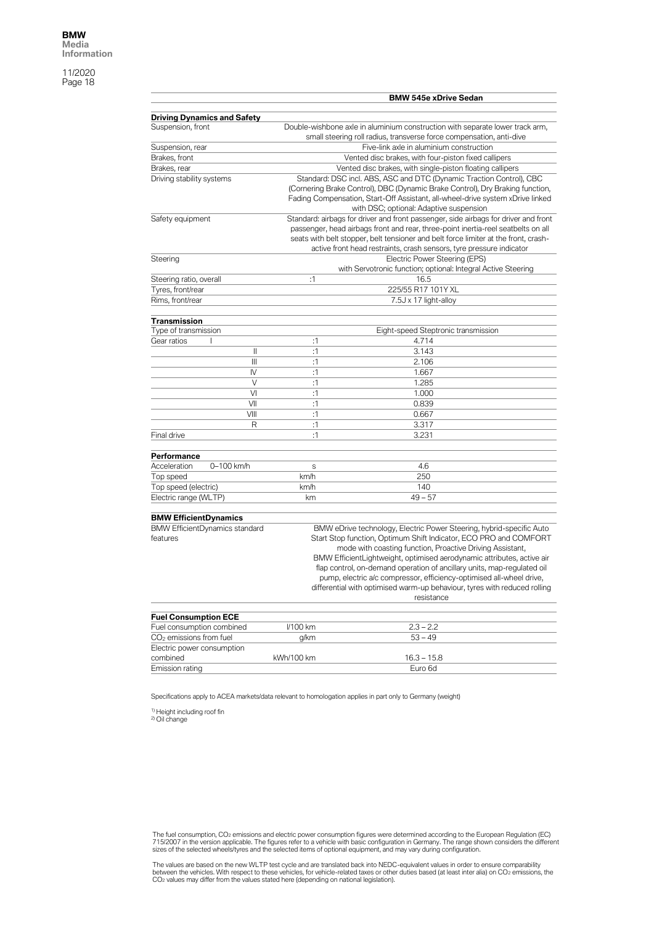|                                                         |              |            | <b>BMW 545e xDrive Sedan</b>                                                            |
|---------------------------------------------------------|--------------|------------|-----------------------------------------------------------------------------------------|
|                                                         |              |            |                                                                                         |
| <b>Driving Dynamics and Safety</b><br>Suspension, front |              |            | Double-wishbone axle in aluminium construction with separate lower track arm,           |
|                                                         |              |            | small steering roll radius, transverse force compensation, anti-dive                    |
| Suspension, rear                                        |              |            | Five-link axle in aluminium construction                                                |
| Brakes, front                                           |              |            | Vented disc brakes, with four-piston fixed callipers                                    |
| Brakes, rear                                            |              |            | Vented disc brakes, with single-piston floating callipers                               |
| Driving stability systems                               |              |            | Standard: DSC incl. ABS, ASC and DTC (Dynamic Traction Control), CBC                    |
|                                                         |              |            | (Cornering Brake Control), DBC (Dynamic Brake Control), Dry Braking function,           |
|                                                         |              |            | Fading Compensation, Start-Off Assistant, all-wheel-drive system xDrive linked          |
|                                                         |              |            | with DSC; optional: Adaptive suspension                                                 |
| Safety equipment                                        |              |            | Standard: airbags for driver and front passenger, side airbags for driver and front     |
|                                                         |              |            | passenger, head airbags front and rear, three-point inertia-reel seatbelts on all       |
|                                                         |              |            | seats with belt stopper, belt tensioner and belt force limiter at the front, crash-     |
|                                                         |              |            | active front head restraints, crash sensors, tyre pressure indicator                    |
| Steering                                                |              |            | Electric Power Steering (EPS)                                                           |
|                                                         |              |            | with Servotronic function; optional: Integral Active Steering                           |
| Steering ratio, overall                                 |              | :1         | 16.5                                                                                    |
| Tyres, front/rear                                       |              |            | 225/55 R17 101Y XL                                                                      |
| Rims, front/rear                                        |              |            | 7.5J x 17 light-alloy                                                                   |
|                                                         |              |            |                                                                                         |
| Transmission                                            |              |            |                                                                                         |
| Type of transmission                                    |              |            | Eight-speed Steptronic transmission                                                     |
| Gear ratios                                             |              | :1         | 4.714                                                                                   |
|                                                         | Ш            | :1         | 3.143                                                                                   |
|                                                         | Ш            | :1         | 2.106                                                                                   |
|                                                         | IV<br>$\vee$ | :1         | 1.667                                                                                   |
|                                                         | VI           | :1<br>:1   | 1.285                                                                                   |
|                                                         | VII          | :1         | 1.000<br>0.839                                                                          |
|                                                         | VIII         | :1         |                                                                                         |
|                                                         | R            | :1         | 0.667<br>3.317                                                                          |
| Final drive                                             |              | :1         | 3.231                                                                                   |
|                                                         |              |            |                                                                                         |
| Performance                                             |              |            |                                                                                         |
| Acceleration                                            | 0-100 km/h   | S          | 4.6                                                                                     |
| Top speed                                               |              | km/h       | 250                                                                                     |
| Top speed (electric)                                    |              | km/h       | 140                                                                                     |
| Electric range (WLTP)                                   |              | km         | $49 - 57$                                                                               |
|                                                         |              |            |                                                                                         |
| <b>BMW EfficientDynamics</b>                            |              |            |                                                                                         |
| <b>BMW EfficientDynamics standard</b>                   |              |            | BMW eDrive technology, Electric Power Steering, hybrid-specific Auto                    |
| features                                                |              |            | Start Stop function, Optimum Shift Indicator, ECO PRO and COMFORT                       |
|                                                         |              |            | mode with coasting function, Proactive Driving Assistant,                               |
|                                                         |              |            | BMW EfficientLightweight, optimised aerodynamic attributes, active air                  |
|                                                         |              |            | flap control, on-demand operation of ancillary units, map-regulated oil                 |
|                                                         |              |            | pump, electric a/c compressor, efficiency-optimised all-wheel drive,                    |
|                                                         |              |            | differential with optimised warm-up behaviour, tyres with reduced rolling<br>resistance |
|                                                         |              |            |                                                                                         |
| <b>Fuel Consumption ECE</b>                             |              |            |                                                                                         |
| Fuel consumption combined                               |              | I/100 km   | $2.3 - 2.2$                                                                             |
| CO <sub>2</sub> emissions from fuel                     |              | g/km       | $53 - 49$                                                                               |
| Electric power consumption                              |              |            |                                                                                         |
| combined                                                |              | kWh/100 km | $16.3 - 15.8$                                                                           |
| Emission rating                                         |              |            | Euro 6d                                                                                 |

Specifications apply to ACEA markets/data relevant to homologation applies in part only to Germany (weight)

<sup>1)</sup> Height including roof fin<br><sup>2)</sup> Oil change

The fuel consumption, CO2 emissions and electric power consumption figures were determined according to the European Regulation (EC)<br>715/2007 in the version applicable. The figures refer to a vehicle with basic configurati

The values are based on the new WLTP test cycle and are translated back into NEDC-equivalent values in order to ensure comparability<br>between the vehicles. With respect to these vehicles, for vehicle-related taxes or other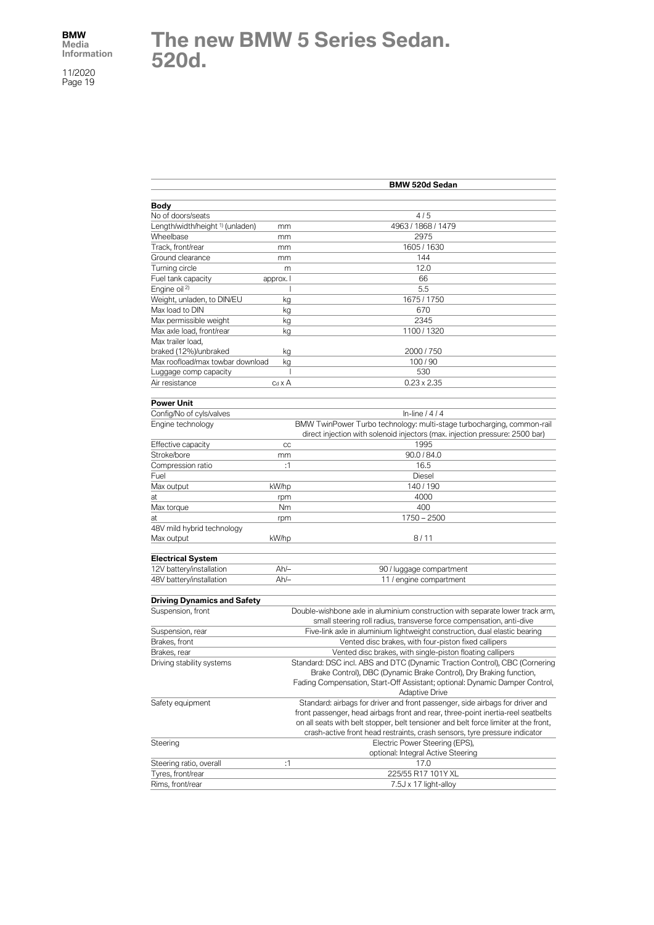# **The new BMW 5 Series Sedan. 520d.**

|                                                   | <b>BMW 520d Sedan</b>                                                                                                                            |
|---------------------------------------------------|--------------------------------------------------------------------------------------------------------------------------------------------------|
|                                                   |                                                                                                                                                  |
| Body                                              |                                                                                                                                                  |
| No of doors/seats                                 | 4/5                                                                                                                                              |
| Length/width/height <sup>1)</sup> (unladen)<br>mm | 4963 / 1868 / 1479                                                                                                                               |
| Wheelbase<br>mm                                   | 2975                                                                                                                                             |
| Track, front/rear<br>mm                           | 1605 / 1630                                                                                                                                      |
| Ground clearance<br>mm                            | 144                                                                                                                                              |
| Turning circle                                    | 12.0<br>m                                                                                                                                        |
| Fuel tank capacity<br>approx. I                   | 66                                                                                                                                               |
| Engine oil <sup>2)</sup>                          | 5.5<br>J                                                                                                                                         |
| Weight, unladen, to DIN/EU                        | 1675 / 1750<br>kg                                                                                                                                |
| Max load to DIN                                   | 670<br>kg                                                                                                                                        |
| Max permissible weight                            | 2345<br>kg                                                                                                                                       |
| Max axle load, front/rear                         | 1100 / 1320<br>kg                                                                                                                                |
| Max trailer load,                                 |                                                                                                                                                  |
| braked (12%)/unbraked                             | 2000 / 750<br>kg                                                                                                                                 |
| Max roofload/max towbar download                  | 100/90<br>kg                                                                                                                                     |
| Luggage comp capacity                             | 530<br>J.                                                                                                                                        |
| Air resistance<br>$c_d \times A$                  | $0.23 \times 2.35$                                                                                                                               |
| Power Unit                                        |                                                                                                                                                  |
| Config/No of cyls/valves                          | In-line $/4/4$                                                                                                                                   |
| Engine technology                                 | BMW TwinPower Turbo technology: multi-stage turbocharging, common-rail                                                                           |
|                                                   | direct injection with solenoid injectors (max. injection pressure: 2500 bar)                                                                     |
| Effective capacity                                | 1995<br>cc                                                                                                                                       |
| Stroke/bore<br>mm                                 | 90.0 / 84.0                                                                                                                                      |
| Compression ratio                                 | :1<br>16.5                                                                                                                                       |
| Fuel                                              | Diesel                                                                                                                                           |
| Max output<br>kW/hp                               | 140/190                                                                                                                                          |
| at<br>rpm                                         | 4000                                                                                                                                             |
| Max torque<br>Nm                                  | 400                                                                                                                                              |
| at<br>rpm                                         | $1750 - 2500$                                                                                                                                    |
| 48V mild hybrid technology                        |                                                                                                                                                  |
| kW/hp<br>Max output                               | 8/11                                                                                                                                             |
|                                                   |                                                                                                                                                  |
| <b>Electrical System</b>                          |                                                                                                                                                  |
| $Ah/-$<br>12V battery/installation                | 90 / luggage compartment                                                                                                                         |
| $Ah/-$<br>48V battery/installation                | 11 / engine compartment                                                                                                                          |
|                                                   |                                                                                                                                                  |
| <b>Driving Dynamics and Safety</b>                |                                                                                                                                                  |
| Suspension, front                                 | Double-wishbone axle in aluminium construction with separate lower track arm,                                                                    |
|                                                   | small steering roll radius, transverse force compensation, anti-dive                                                                             |
| Suspension, rear<br>Brakes, front                 | Five-link axle in aluminium lightweight construction, dual elastic bearing                                                                       |
|                                                   | Vented disc brakes, with four-piston fixed callipers                                                                                             |
| Brakes, rear                                      | Vented disc brakes, with single-piston floating callipers                                                                                        |
| Driving stability systems                         | Standard: DSC incl. ABS and DTC (Dynamic Traction Control), CBC (Cornering<br>Brake Control), DBC (Dynamic Brake Control), Dry Braking function, |
|                                                   | Fading Compensation, Start-Off Assistant; optional: Dynamic Damper Control,                                                                      |
|                                                   | <b>Adaptive Drive</b>                                                                                                                            |
| Safety equipment                                  | Standard: airbags for driver and front passenger, side airbags for driver and                                                                    |
|                                                   | front passenger, head airbags front and rear, three-point inertia-reel seatbelts                                                                 |
|                                                   | on all seats with belt stopper, belt tensioner and belt force limiter at the front,                                                              |
|                                                   | crash-active front head restraints, crash sensors, tyre pressure indicator                                                                       |
| Steering                                          | Electric Power Steering (EPS),                                                                                                                   |
|                                                   | optional: Integral Active Steering                                                                                                               |
| Steering ratio, overall                           | :1<br>17.0                                                                                                                                       |
| Tyres, front/rear                                 | 225/55 R17 101Y XL                                                                                                                               |
| Rims, front/rear                                  | 7.5J x 17 light-alloy                                                                                                                            |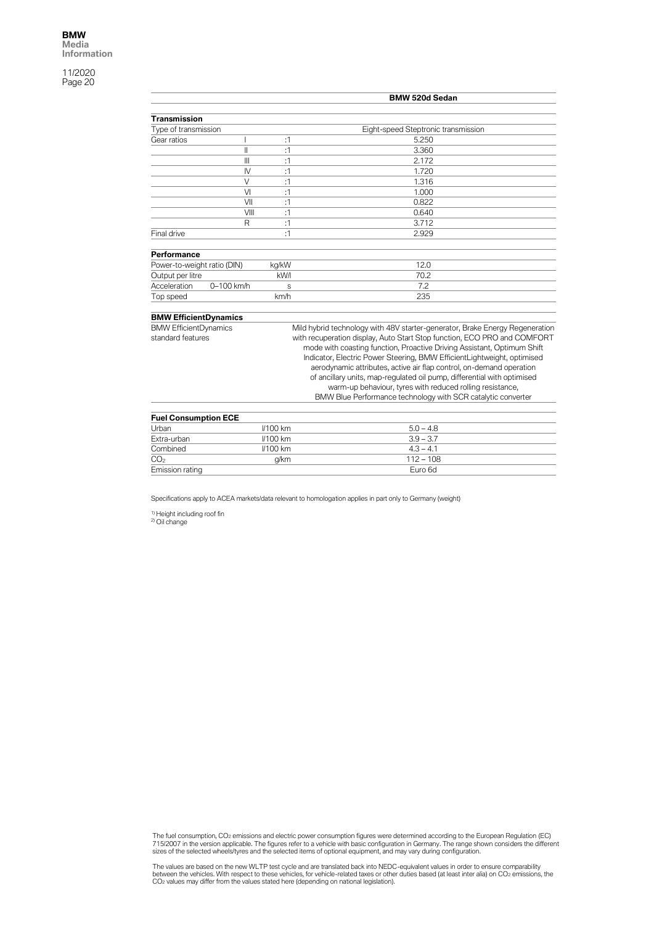|                                                   |                |                 | <b>BMW 520d Sedan</b>                                                                                                                                                                                                                                                                                                                                                                                                                                                                                                                                                                          |
|---------------------------------------------------|----------------|-----------------|------------------------------------------------------------------------------------------------------------------------------------------------------------------------------------------------------------------------------------------------------------------------------------------------------------------------------------------------------------------------------------------------------------------------------------------------------------------------------------------------------------------------------------------------------------------------------------------------|
| <b>Transmission</b>                               |                |                 |                                                                                                                                                                                                                                                                                                                                                                                                                                                                                                                                                                                                |
| Type of transmission                              |                |                 | Eight-speed Steptronic transmission                                                                                                                                                                                                                                                                                                                                                                                                                                                                                                                                                            |
| Gear ratios                                       |                | :1              | 5.250                                                                                                                                                                                                                                                                                                                                                                                                                                                                                                                                                                                          |
|                                                   | Ш              | :1              | 3.360                                                                                                                                                                                                                                                                                                                                                                                                                                                                                                                                                                                          |
|                                                   | $\mathbf{III}$ | :1              | 2.172                                                                                                                                                                                                                                                                                                                                                                                                                                                                                                                                                                                          |
|                                                   | $\mathsf{N}$   | :1              | 1.720                                                                                                                                                                                                                                                                                                                                                                                                                                                                                                                                                                                          |
|                                                   | $\vee$         | :1              | 1.316                                                                                                                                                                                                                                                                                                                                                                                                                                                                                                                                                                                          |
|                                                   | VI             | :1              | 1.000                                                                                                                                                                                                                                                                                                                                                                                                                                                                                                                                                                                          |
|                                                   | VII            | :1              | 0.822                                                                                                                                                                                                                                                                                                                                                                                                                                                                                                                                                                                          |
|                                                   | VIII           | :1              | 0.640                                                                                                                                                                                                                                                                                                                                                                                                                                                                                                                                                                                          |
|                                                   | R              | :1              | 3.712                                                                                                                                                                                                                                                                                                                                                                                                                                                                                                                                                                                          |
| Final drive                                       |                | :1              | 2.929                                                                                                                                                                                                                                                                                                                                                                                                                                                                                                                                                                                          |
| Performance                                       |                |                 |                                                                                                                                                                                                                                                                                                                                                                                                                                                                                                                                                                                                |
| Power-to-weight ratio (DIN)                       |                | kg/kW           | 12.0                                                                                                                                                                                                                                                                                                                                                                                                                                                                                                                                                                                           |
| Output per litre                                  |                | kW/l            | 70.2                                                                                                                                                                                                                                                                                                                                                                                                                                                                                                                                                                                           |
| Acceleration                                      | 0-100 km/h     | S               | 7.2                                                                                                                                                                                                                                                                                                                                                                                                                                                                                                                                                                                            |
| Top speed                                         |                | km/h            | 235                                                                                                                                                                                                                                                                                                                                                                                                                                                                                                                                                                                            |
| <b>BMW EfficientDynamics</b>                      |                |                 |                                                                                                                                                                                                                                                                                                                                                                                                                                                                                                                                                                                                |
| <b>BMW EfficientDynamics</b><br>standard features |                |                 | Mild hybrid technology with 48V starter-generator, Brake Energy Regeneration<br>with recuperation display, Auto Start Stop function, ECO PRO and COMFORT<br>mode with coasting function, Proactive Driving Assistant, Optimum Shift<br>Indicator, Electric Power Steering, BMW EfficientLightweight, optimised<br>aerodynamic attributes, active air flap control, on-demand operation<br>of ancillary units, map-regulated oil pump, differential with optimised<br>warm-up behaviour, tyres with reduced rolling resistance,<br>BMW Blue Performance technology with SCR catalytic converter |
| <b>Fuel Consumption ECE</b><br>Urban              |                | <b>//100 km</b> | $5.0 - 4.8$                                                                                                                                                                                                                                                                                                                                                                                                                                                                                                                                                                                    |

| <b>TUBI CONSUMPTION EVE</b> |             |  |
|-----------------------------|-------------|--|
| $1/100$ km                  | $5.0 - 4.8$ |  |
| $1/100$ km                  | $3.9 - 3.7$ |  |
| $1/100$ km                  | $4.3 - 4.1$ |  |
| a/km                        | $112 - 108$ |  |
|                             | Euro 6d     |  |
|                             |             |  |

Specifications apply to ACEA markets/data relevant to homologation applies in part only to Germany (weight)

<sup>1)</sup> Height including roof fin<br><sup>2)</sup> Oil change

The fuel consumption, CO2 emissions and electric power consumption figures were determined according to the European Regulation (EC)<br>715/2007 in the version applicable. The figures refer to a vehicle with basic configurati

The values are based on the new WLTP test cycle and are translated back into NEDC-equivalent values in order to ensure comparability<br>between the vehicles. With respect to these vehicles, for vehicle-related taxes or other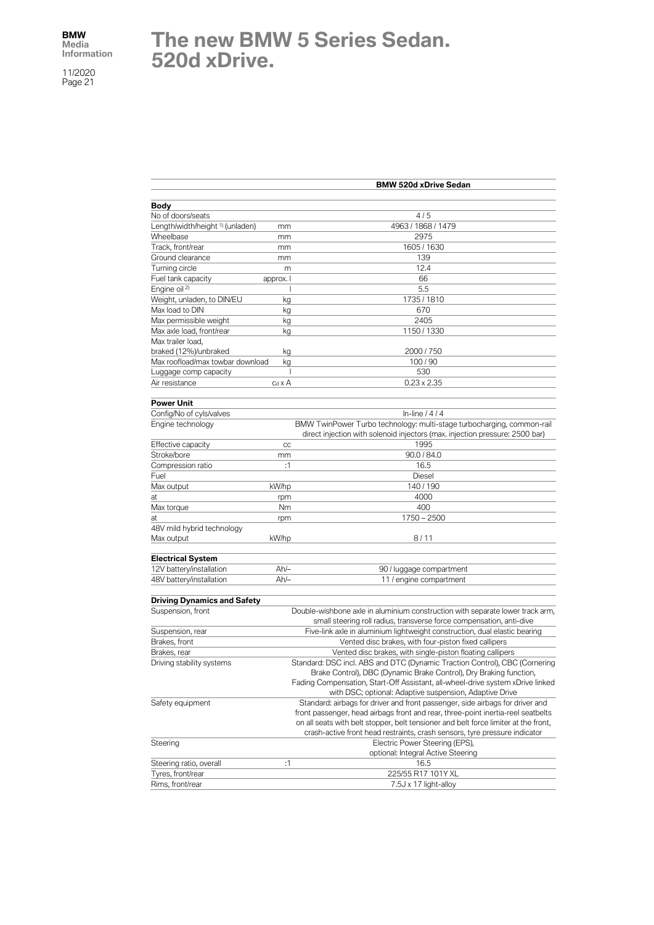# **The new BMW 5 Series Sedan. 520d xDrive.**

|                                             |                                                                    | <b>BMW 520d xDrive Sedan</b>                                                                                                                           |  |
|---------------------------------------------|--------------------------------------------------------------------|--------------------------------------------------------------------------------------------------------------------------------------------------------|--|
|                                             |                                                                    |                                                                                                                                                        |  |
| Body<br>No of doors/seats                   |                                                                    | 4/5                                                                                                                                                    |  |
| Length/width/height <sup>1)</sup> (unladen) |                                                                    | 4963 / 1868 / 1479                                                                                                                                     |  |
| Wheelbase                                   | mm                                                                 | 2975                                                                                                                                                   |  |
|                                             | mm                                                                 |                                                                                                                                                        |  |
| Track, front/rear                           | mm                                                                 | 1605 / 1630                                                                                                                                            |  |
| Ground clearance                            | mm                                                                 | 139                                                                                                                                                    |  |
| Turning circle                              | m                                                                  | 12.4                                                                                                                                                   |  |
| Fuel tank capacity                          | approx. I                                                          | 66                                                                                                                                                     |  |
| Engine oil <sup>2)</sup>                    |                                                                    | 5.5                                                                                                                                                    |  |
| Weight, unladen, to DIN/EU                  | kg                                                                 | 1735 / 1810                                                                                                                                            |  |
| Max load to DIN                             | kg                                                                 | 670                                                                                                                                                    |  |
| Max permissible weight                      | kg                                                                 | 2405                                                                                                                                                   |  |
| Max axle load, front/rear                   | kg                                                                 | 1150 / 1330                                                                                                                                            |  |
| Max trailer load.                           |                                                                    |                                                                                                                                                        |  |
| braked (12%)/unbraked                       | kg                                                                 | 2000 / 750                                                                                                                                             |  |
| Max roofload/max towbar download            | kg                                                                 | 100/90                                                                                                                                                 |  |
| Luggage comp capacity                       | I                                                                  | 530                                                                                                                                                    |  |
| Air resistance                              | Cd X A                                                             | $0.23 \times 2.35$                                                                                                                                     |  |
| <b>Power Unit</b>                           |                                                                    |                                                                                                                                                        |  |
| Config/No of cyls/valves                    |                                                                    | In-line $/4/4$                                                                                                                                         |  |
| Engine technology                           |                                                                    | BMW TwinPower Turbo technology: multi-stage turbocharging, common-rail<br>direct injection with solenoid injectors (max. injection pressure: 2500 bar) |  |
| Effective capacity                          | CC                                                                 | 1995                                                                                                                                                   |  |
|                                             |                                                                    |                                                                                                                                                        |  |
| Stroke/bore<br>Compression ratio            | mm                                                                 | 90.0 / 84.0                                                                                                                                            |  |
|                                             | :1                                                                 | 16.5                                                                                                                                                   |  |
| Fuel                                        |                                                                    | Diesel                                                                                                                                                 |  |
| Max output                                  | kW/hp                                                              | 140/190                                                                                                                                                |  |
| at                                          | rpm                                                                | 4000                                                                                                                                                   |  |
| Max torque                                  | Nm                                                                 | 400                                                                                                                                                    |  |
| at                                          | rpm                                                                | $1750 - 2500$                                                                                                                                          |  |
| 48V mild hybrid technology<br>Max output    | kW/hp                                                              | 8/11                                                                                                                                                   |  |
| <b>Electrical System</b>                    |                                                                    |                                                                                                                                                        |  |
| 12V battery/installation                    | Ah/-                                                               | 90 / luggage compartment                                                                                                                               |  |
| 48V battery/installation                    | Ah/-                                                               | 11 / engine compartment                                                                                                                                |  |
|                                             |                                                                    |                                                                                                                                                        |  |
| <b>Driving Dynamics and Safety</b>          |                                                                    |                                                                                                                                                        |  |
| Suspension, front                           |                                                                    | Double-wishbone axle in aluminium construction with separate lower track arm,                                                                          |  |
|                                             |                                                                    | small steering roll radius, transverse force compensation, anti-dive                                                                                   |  |
| Suspension, rear                            |                                                                    | Five-link axle in aluminium lightweight construction, dual elastic bearing                                                                             |  |
| Brakes, front                               |                                                                    | Vented disc brakes, with four-piston fixed callipers                                                                                                   |  |
| Brakes, rear                                |                                                                    | Vented disc brakes, with single-piston floating callipers                                                                                              |  |
| Driving stability systems                   |                                                                    | Standard: DSC incl. ABS and DTC (Dynamic Traction Control), CBC (Cornering                                                                             |  |
|                                             | Brake Control), DBC (Dynamic Brake Control), Dry Braking function, |                                                                                                                                                        |  |
|                                             |                                                                    | Fading Compensation, Start-Off Assistant, all-wheel-drive system xDrive linked                                                                         |  |
|                                             |                                                                    | with DSC; optional: Adaptive suspension, Adaptive Drive                                                                                                |  |
| Safety equipment                            |                                                                    | Standard: airbags for driver and front passenger, side airbags for driver and                                                                          |  |
|                                             |                                                                    | front passenger, head airbags front and rear, three-point inertia-reel seatbelts                                                                       |  |
|                                             |                                                                    | on all seats with belt stopper, belt tensioner and belt force limiter at the front,                                                                    |  |
|                                             |                                                                    | crash-active front head restraints, crash sensors, tyre pressure indicator                                                                             |  |
| Steering                                    |                                                                    | Electric Power Steering (EPS),                                                                                                                         |  |
|                                             |                                                                    | optional: Integral Active Steering                                                                                                                     |  |
| Steering ratio, overall                     | :1                                                                 | 16.5                                                                                                                                                   |  |
| Tyres, front/rear                           |                                                                    | 225/55 R17 101Y XL                                                                                                                                     |  |
| Rims, front/rear                            |                                                                    | 7.5J x 17 light-alloy                                                                                                                                  |  |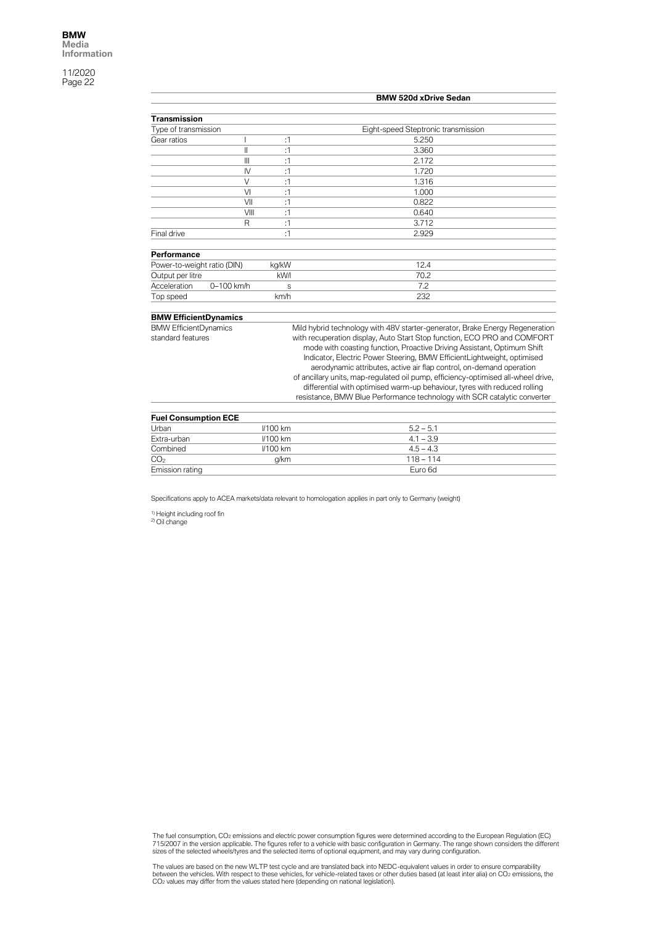|                                                   |                |               | <b>BMW 520d xDrive Sedan</b>                                                                                                                                                                                                                                                                                                                                                                                                                                                                                                                                                                                                         |
|---------------------------------------------------|----------------|---------------|--------------------------------------------------------------------------------------------------------------------------------------------------------------------------------------------------------------------------------------------------------------------------------------------------------------------------------------------------------------------------------------------------------------------------------------------------------------------------------------------------------------------------------------------------------------------------------------------------------------------------------------|
|                                                   |                |               |                                                                                                                                                                                                                                                                                                                                                                                                                                                                                                                                                                                                                                      |
| <b>Transmission</b>                               |                |               |                                                                                                                                                                                                                                                                                                                                                                                                                                                                                                                                                                                                                                      |
| Type of transmission                              |                |               | Eight-speed Steptronic transmission                                                                                                                                                                                                                                                                                                                                                                                                                                                                                                                                                                                                  |
| Gear ratios                                       |                | :1            | 5.250                                                                                                                                                                                                                                                                                                                                                                                                                                                                                                                                                                                                                                |
|                                                   | $\mathsf{I}$   | :1            | 3.360                                                                                                                                                                                                                                                                                                                                                                                                                                                                                                                                                                                                                                |
|                                                   | $\mathbf{III}$ | :1            | 2.172                                                                                                                                                                                                                                                                                                                                                                                                                                                                                                                                                                                                                                |
|                                                   | IV             | :1            | 1.720                                                                                                                                                                                                                                                                                                                                                                                                                                                                                                                                                                                                                                |
|                                                   | $\vee$         | :1            | 1.316                                                                                                                                                                                                                                                                                                                                                                                                                                                                                                                                                                                                                                |
|                                                   | VI             | :1            | 1.000                                                                                                                                                                                                                                                                                                                                                                                                                                                                                                                                                                                                                                |
|                                                   | VII            | :1            | 0.822                                                                                                                                                                                                                                                                                                                                                                                                                                                                                                                                                                                                                                |
|                                                   | VIII           | :1            | 0.640                                                                                                                                                                                                                                                                                                                                                                                                                                                                                                                                                                                                                                |
|                                                   | $\mathsf{R}$   | :1            | 3.712                                                                                                                                                                                                                                                                                                                                                                                                                                                                                                                                                                                                                                |
| Final drive                                       |                | :1            | 2.929                                                                                                                                                                                                                                                                                                                                                                                                                                                                                                                                                                                                                                |
| Performance                                       |                |               |                                                                                                                                                                                                                                                                                                                                                                                                                                                                                                                                                                                                                                      |
|                                                   |                |               | 12.4                                                                                                                                                                                                                                                                                                                                                                                                                                                                                                                                                                                                                                 |
| Power-to-weight ratio (DIN)<br>Output per litre   |                | kg/kW<br>kW/l | 70.2                                                                                                                                                                                                                                                                                                                                                                                                                                                                                                                                                                                                                                 |
| Acceleration                                      | 0-100 km/h     |               | 7.2                                                                                                                                                                                                                                                                                                                                                                                                                                                                                                                                                                                                                                  |
|                                                   |                | S             |                                                                                                                                                                                                                                                                                                                                                                                                                                                                                                                                                                                                                                      |
| Top speed                                         |                | km/h          | 232                                                                                                                                                                                                                                                                                                                                                                                                                                                                                                                                                                                                                                  |
| <b>BMW EfficientDynamics</b>                      |                |               |                                                                                                                                                                                                                                                                                                                                                                                                                                                                                                                                                                                                                                      |
| <b>BMW EfficientDynamics</b><br>standard features |                |               | Mild hybrid technology with 48V starter-generator, Brake Energy Regeneration<br>with recuperation display, Auto Start Stop function, ECO PRO and COMFORT<br>mode with coasting function, Proactive Driving Assistant, Optimum Shift<br>Indicator, Electric Power Steering, BMW EfficientLightweight, optimised<br>aerodynamic attributes, active air flap control, on-demand operation<br>of ancillary units, map-regulated oil pump, efficiency-optimised all-wheel drive,<br>differential with optimised warm-up behaviour, tyres with reduced rolling<br>resistance, BMW Blue Performance technology with SCR catalytic converter |
| <b>Fuel Consumption ECE</b>                       |                |               |                                                                                                                                                                                                                                                                                                                                                                                                                                                                                                                                                                                                                                      |

| <b>Fuel Consumption ECE</b> |            |             |  |
|-----------------------------|------------|-------------|--|
| Urban                       | $1/100$ km | $5.2 - 5.1$ |  |
| Extra-urban                 | $1/100$ km | $4.1 - 3.9$ |  |
| Combined                    | $1/100$ km | $4.5 - 4.3$ |  |
| CO <sub>2</sub>             | a/km       | $118 - 114$ |  |
| Emission rating             |            | Euro 6d     |  |

Specifications apply to ACEA markets/data relevant to homologation applies in part only to Germany (weight)

<sup>1)</sup> Height including roof fin<br><sup>2)</sup> Oil change

The fuel consumption, CO2 emissions and electric power consumption figures were determined according to the European Regulation (EC)<br>715/2007 in the version applicable. The figures refer to a vehicle with basic configurati

The values are based on the new WLTP test cycle and are translated back into NEDC-equivalent values in order to ensure comparability<br>between the vehicles. With respect to these vehicles, for vehicle-related taxes or other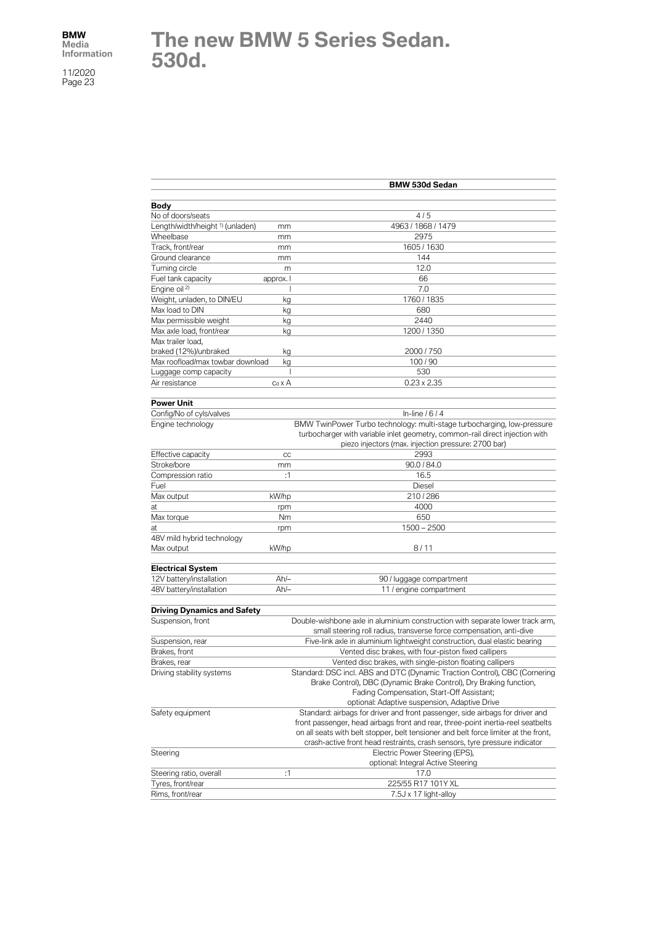# **The new BMW 5 Series Sedan. 530d.**

|                                                                  |                | <b>BMW 530d Sedan</b>                                                                                                                                                                                                                                                                                                                  |
|------------------------------------------------------------------|----------------|----------------------------------------------------------------------------------------------------------------------------------------------------------------------------------------------------------------------------------------------------------------------------------------------------------------------------------------|
|                                                                  |                |                                                                                                                                                                                                                                                                                                                                        |
| Body                                                             |                | 4/5                                                                                                                                                                                                                                                                                                                                    |
| No of doors/seats<br>Length/width/height <sup>1)</sup> (unladen) |                | 4963 / 1868 / 1479                                                                                                                                                                                                                                                                                                                     |
| Wheelbase                                                        | mm             | 2975                                                                                                                                                                                                                                                                                                                                   |
| Track, front/rear                                                | mm             | 1605 / 1630                                                                                                                                                                                                                                                                                                                            |
| Ground clearance                                                 | mm             | 144                                                                                                                                                                                                                                                                                                                                    |
| Turning circle                                                   | mm             | 12.0                                                                                                                                                                                                                                                                                                                                   |
| Fuel tank capacity                                               | m              | 66                                                                                                                                                                                                                                                                                                                                     |
| Engine oil <sup>2)</sup>                                         | approx. I      | 7.0                                                                                                                                                                                                                                                                                                                                    |
| Weight, unladen, to DIN/EU                                       |                | 1760 / 1835                                                                                                                                                                                                                                                                                                                            |
| Max load to DIN                                                  | kg             |                                                                                                                                                                                                                                                                                                                                        |
| Max permissible weight                                           | kg             | 680<br>2440                                                                                                                                                                                                                                                                                                                            |
| Max axle load, front/rear                                        | kg             | 1200 / 1350                                                                                                                                                                                                                                                                                                                            |
|                                                                  | kg             |                                                                                                                                                                                                                                                                                                                                        |
| Max trailer load,                                                |                | 2000 / 750                                                                                                                                                                                                                                                                                                                             |
| braked (12%)/unbraked<br>Max roofload/max towbar download        | kg             | 100/90                                                                                                                                                                                                                                                                                                                                 |
|                                                                  | kg<br>ı        | 530                                                                                                                                                                                                                                                                                                                                    |
| Luggage comp capacity                                            |                |                                                                                                                                                                                                                                                                                                                                        |
| Air resistance                                                   | $c_d \times A$ | $0.23 \times 2.35$                                                                                                                                                                                                                                                                                                                     |
| <b>Power Unit</b>                                                |                |                                                                                                                                                                                                                                                                                                                                        |
| Config/No of cyls/valves                                         |                | In-line $/6/4$                                                                                                                                                                                                                                                                                                                         |
| Engine technology                                                |                | BMW TwinPower Turbo technology: multi-stage turbocharging, low-pressure<br>turbocharger with variable inlet geometry, common-rail direct injection with<br>piezo injectors (max. injection pressure: 2700 bar)                                                                                                                         |
| Effective capacity                                               | CC             | 2993                                                                                                                                                                                                                                                                                                                                   |
| Stroke/bore                                                      | mm             | 90.0 / 84.0                                                                                                                                                                                                                                                                                                                            |
| Compression ratio                                                | :1             | 16.5                                                                                                                                                                                                                                                                                                                                   |
| Fuel                                                             |                | Diesel                                                                                                                                                                                                                                                                                                                                 |
| Max output                                                       | kW/hp          | 210/286                                                                                                                                                                                                                                                                                                                                |
| at                                                               | rpm            | 4000                                                                                                                                                                                                                                                                                                                                   |
| Max torque                                                       | Nm             | 650                                                                                                                                                                                                                                                                                                                                    |
| at                                                               | rpm            | $1500 - 2500$                                                                                                                                                                                                                                                                                                                          |
| 48V mild hybrid technology                                       |                |                                                                                                                                                                                                                                                                                                                                        |
| Max output                                                       | kW/hp          | 8/11                                                                                                                                                                                                                                                                                                                                   |
|                                                                  |                |                                                                                                                                                                                                                                                                                                                                        |
| <b>Electrical System</b>                                         |                |                                                                                                                                                                                                                                                                                                                                        |
| 12V battery/installation                                         | Ah/–           | 90 / luggage compartment                                                                                                                                                                                                                                                                                                               |
| 48V battery/installation                                         | $Ah/-$         | 11 / engine compartment                                                                                                                                                                                                                                                                                                                |
| <b>Driving Dynamics and Safety</b>                               |                |                                                                                                                                                                                                                                                                                                                                        |
| Suspension, front                                                |                | Double-wishbone axle in aluminium construction with separate lower track arm,<br>small steering roll radius, transverse force compensation, anti-dive                                                                                                                                                                                  |
| Suspension, rear                                                 |                | Five-link axle in aluminium lightweight construction, dual elastic bearing                                                                                                                                                                                                                                                             |
| Brakes, front                                                    |                | Vented disc brakes, with four-piston fixed callipers                                                                                                                                                                                                                                                                                   |
| Brakes, rear                                                     |                | Vented disc brakes, with single-piston floating callipers                                                                                                                                                                                                                                                                              |
| Driving stability systems                                        |                | Standard: DSC incl. ABS and DTC (Dynamic Traction Control), CBC (Cornering<br>Brake Control), DBC (Dynamic Brake Control), Dry Braking function,                                                                                                                                                                                       |
|                                                                  |                | Fading Compensation, Start-Off Assistant;                                                                                                                                                                                                                                                                                              |
|                                                                  |                | optional: Adaptive suspension, Adaptive Drive                                                                                                                                                                                                                                                                                          |
| Safety equipment                                                 |                | Standard: airbags for driver and front passenger, side airbags for driver and<br>front passenger, head airbags front and rear, three-point inertia-reel seatbelts<br>on all seats with belt stopper, belt tensioner and belt force limiter at the front,<br>crash-active front head restraints, crash sensors, tyre pressure indicator |
| Steering                                                         |                | Electric Power Steering (EPS),<br>optional: Integral Active Steering                                                                                                                                                                                                                                                                   |
| Steering ratio, overall                                          | :1             | 17.0                                                                                                                                                                                                                                                                                                                                   |
| Tyres, front/rear                                                |                | 225/55 R17 101Y XL                                                                                                                                                                                                                                                                                                                     |
| Rims, front/rear                                                 |                | 7.5J x 17 light-alloy                                                                                                                                                                                                                                                                                                                  |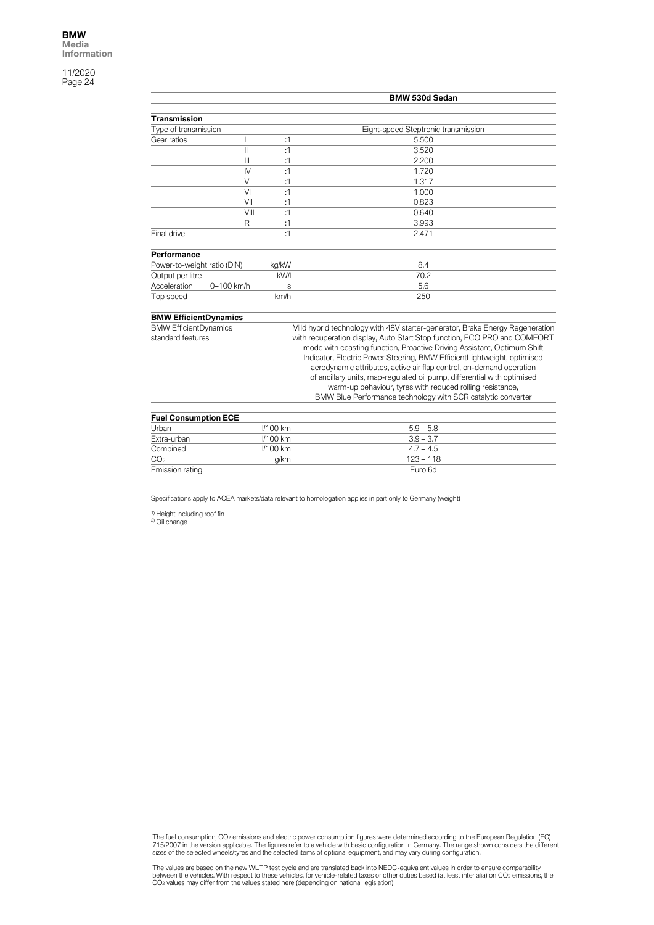|                              |                 | <b>BMW 530d Sedan</b>                                                                                                                           |
|------------------------------|-----------------|-------------------------------------------------------------------------------------------------------------------------------------------------|
| <b>Transmission</b>          |                 |                                                                                                                                                 |
| Type of transmission         |                 | Eight-speed Steptronic transmission                                                                                                             |
| Gear ratios                  | :1              | 5.500                                                                                                                                           |
| Ш                            | :1              | 3.520                                                                                                                                           |
| $\mathbb{I}$                 | :1              | 2.200                                                                                                                                           |
| $\mathsf{N}$                 | :1              | 1.720                                                                                                                                           |
| $\vee$                       | :1              | 1.317                                                                                                                                           |
| VI                           | :1              | 1.000                                                                                                                                           |
| VII                          | :1              | 0.823                                                                                                                                           |
| VIII                         | :1              | 0.640                                                                                                                                           |
| R                            | :1              | 3.993                                                                                                                                           |
| Final drive                  | :1              | 2.471                                                                                                                                           |
| Performance                  |                 |                                                                                                                                                 |
| Power-to-weight ratio (DIN)  | kg/kW           | 8.4                                                                                                                                             |
| Output per litre             | kW/I            | 70.2                                                                                                                                            |
| Acceleration<br>0-100 km/h   | S               | 5.6                                                                                                                                             |
| Top speed                    | km/h            | 250                                                                                                                                             |
| <b>BMW EfficientDynamics</b> |                 |                                                                                                                                                 |
| <b>BMW EfficientDynamics</b> |                 | Mild hybrid technology with 48V starter-generator, Brake Energy Regeneration                                                                    |
| standard features            |                 | with recuperation display, Auto Start Stop function, ECO PRO and COMFORT                                                                        |
|                              |                 | mode with coasting function, Proactive Driving Assistant, Optimum Shift                                                                         |
|                              |                 | Indicator, Electric Power Steering, BMW EfficientLightweight, optimised                                                                         |
|                              |                 | aerodynamic attributes, active air flap control, on-demand operation<br>of ancillary units, map-regulated oil pump, differential with optimised |
|                              |                 | warm-up behaviour, tyres with reduced rolling resistance,                                                                                       |
|                              |                 | BMW Blue Performance technology with SCR catalytic converter                                                                                    |
|                              |                 |                                                                                                                                                 |
| <b>Fuel Consumption ECE</b>  |                 |                                                                                                                                                 |
| Urban                        | <b>//100 km</b> | $5.9 - 5.8$                                                                                                                                     |
| Extra-urban                  | <b>I/100 km</b> | $3.9 - 3.7$                                                                                                                                     |
| Combined                     | <b>//100 km</b> | $4.7 - 4.5$                                                                                                                                     |

Specifications apply to ACEA markets/data relevant to homologation applies in part only to Germany (weight)

 $CO<sub>2</sub>$  g/km  $123 - 118$ Emission rating Euro 6d

<sup>1)</sup> Height including roof fin<br><sup>2)</sup> Oil change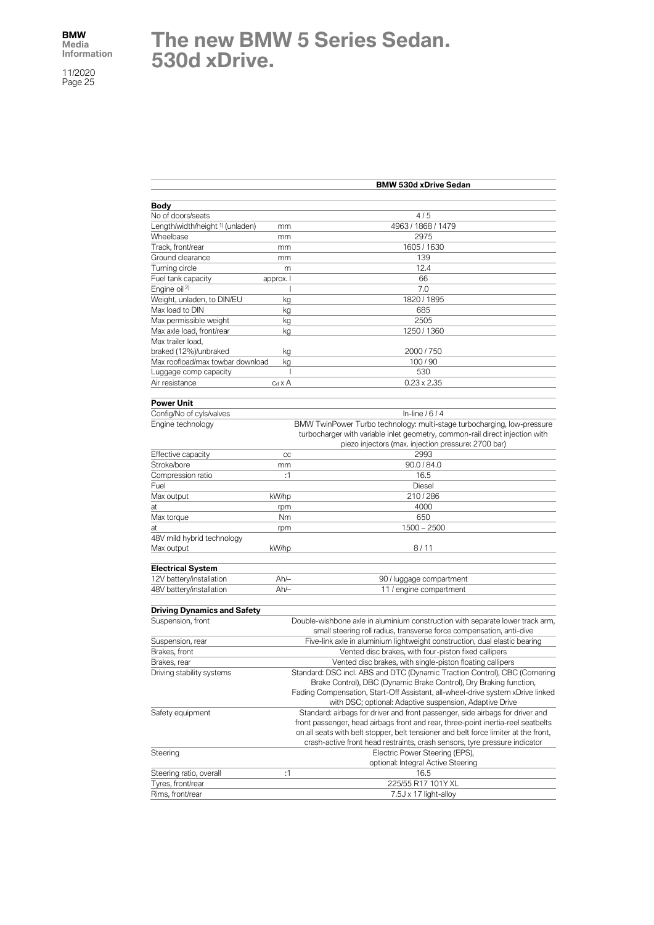## **The new BMW 5 Series Sedan. 530d xDrive.**

|                                             |                                                                                | <b>BMW 530d xDrive Sedan</b>                                                                                                                                                                                   |
|---------------------------------------------|--------------------------------------------------------------------------------|----------------------------------------------------------------------------------------------------------------------------------------------------------------------------------------------------------------|
|                                             |                                                                                |                                                                                                                                                                                                                |
| <b>Body</b>                                 |                                                                                | 4/5                                                                                                                                                                                                            |
| No of doors/seats                           |                                                                                |                                                                                                                                                                                                                |
| Length/width/height <sup>1)</sup> (unladen) | mm                                                                             | 4963 / 1868 / 1479                                                                                                                                                                                             |
| Wheelbase                                   | mm                                                                             | 2975                                                                                                                                                                                                           |
| Track, front/rear                           | mm                                                                             | 1605 / 1630                                                                                                                                                                                                    |
| Ground clearance                            | mm                                                                             | 139                                                                                                                                                                                                            |
| Turning circle                              | m                                                                              | 12.4                                                                                                                                                                                                           |
| Fuel tank capacity                          | approx. I                                                                      | 66                                                                                                                                                                                                             |
| Engine oil <sup>2)</sup>                    |                                                                                | 7.0                                                                                                                                                                                                            |
| Weight, unladen, to DIN/EU                  | kg                                                                             | 1820 / 1895                                                                                                                                                                                                    |
| Max load to DIN                             | kg                                                                             | 685                                                                                                                                                                                                            |
| Max permissible weight                      | kg                                                                             | 2505                                                                                                                                                                                                           |
| Max axle load, front/rear                   | kg                                                                             | 1250 / 1360                                                                                                                                                                                                    |
| Max trailer load.                           |                                                                                |                                                                                                                                                                                                                |
| braked (12%)/unbraked                       | kg                                                                             | 2000 / 750                                                                                                                                                                                                     |
| Max roofload/max towbar download            | kg                                                                             | 100/90                                                                                                                                                                                                         |
| Luggage comp capacity                       | J.                                                                             | 530                                                                                                                                                                                                            |
| Air resistance                              | $c_d \times A$                                                                 | $0.23 \times 2.35$                                                                                                                                                                                             |
|                                             |                                                                                |                                                                                                                                                                                                                |
| <b>Power Unit</b>                           |                                                                                |                                                                                                                                                                                                                |
| Config/No of cyls/valves                    |                                                                                | In-line $/6/4$                                                                                                                                                                                                 |
| Engine technology                           |                                                                                | BMW TwinPower Turbo technology: multi-stage turbocharging, low-pressure<br>turbocharger with variable inlet geometry, common-rail direct injection with<br>piezo injectors (max. injection pressure: 2700 bar) |
| Effective capacity                          | CC                                                                             | 2993                                                                                                                                                                                                           |
| Stroke/bore                                 | mm                                                                             | 90.0 / 84.0                                                                                                                                                                                                    |
| Compression ratio                           | :1                                                                             | 16.5                                                                                                                                                                                                           |
| Fuel                                        |                                                                                | Diesel                                                                                                                                                                                                         |
| Max output                                  | kW/hp                                                                          | 210/286                                                                                                                                                                                                        |
| at                                          |                                                                                | 4000                                                                                                                                                                                                           |
|                                             | rpm<br>Nm                                                                      | 650                                                                                                                                                                                                            |
| Max torque                                  |                                                                                |                                                                                                                                                                                                                |
| at                                          | rpm                                                                            | $1500 - 2500$                                                                                                                                                                                                  |
| 48V mild hybrid technology                  |                                                                                | 8/11                                                                                                                                                                                                           |
| Max output                                  | kW/hp                                                                          |                                                                                                                                                                                                                |
| <b>Electrical System</b>                    |                                                                                |                                                                                                                                                                                                                |
| 12V battery/installation                    | Ah/-                                                                           | 90 / luggage compartment                                                                                                                                                                                       |
| 48V battery/installation                    | $Ah/-$                                                                         | 11 / engine compartment                                                                                                                                                                                        |
| <b>Driving Dynamics and Safety</b>          |                                                                                |                                                                                                                                                                                                                |
| Suspension, front                           |                                                                                | Double-wishbone axle in aluminium construction with separate lower track arm,                                                                                                                                  |
|                                             |                                                                                | small steering roll radius, transverse force compensation, anti-dive                                                                                                                                           |
| Suspension, rear                            |                                                                                | Five-link axle in aluminium lightweight construction, dual elastic bearing                                                                                                                                     |
| Brakes, front                               |                                                                                | Vented disc brakes, with four-piston fixed callipers                                                                                                                                                           |
| Brakes, rear                                |                                                                                | Vented disc brakes, with single-piston floating callipers                                                                                                                                                      |
| Driving stability systems                   |                                                                                | Standard: DSC incl. ABS and DTC (Dynamic Traction Control), CBC (Cornering                                                                                                                                     |
|                                             |                                                                                | Brake Control), DBC (Dynamic Brake Control), Dry Braking function,                                                                                                                                             |
|                                             | Fading Compensation, Start-Off Assistant, all-wheel-drive system xDrive linked |                                                                                                                                                                                                                |
|                                             |                                                                                | with DSC; optional: Adaptive suspension, Adaptive Drive                                                                                                                                                        |
| Safety equipment                            |                                                                                | Standard: airbags for driver and front passenger, side airbags for driver and                                                                                                                                  |
|                                             |                                                                                | front passenger, head airbags front and rear, three-point inertia-reel seatbelts                                                                                                                               |
|                                             |                                                                                |                                                                                                                                                                                                                |
|                                             |                                                                                | on all seats with belt stopper, belt tensioner and belt force limiter at the front,                                                                                                                            |
|                                             |                                                                                | crash-active front head restraints, crash sensors, tyre pressure indicator                                                                                                                                     |
| Steering                                    |                                                                                | Electric Power Steering (EPS),                                                                                                                                                                                 |
|                                             |                                                                                | optional: Integral Active Steering                                                                                                                                                                             |
| Steering ratio, overall                     | :1                                                                             | 16.5                                                                                                                                                                                                           |
| Tyres, front/rear                           |                                                                                | 225/55 R17 101Y XL                                                                                                                                                                                             |
| Rims, front/rear                            |                                                                                | 7.5J x 17 light-alloy                                                                                                                                                                                          |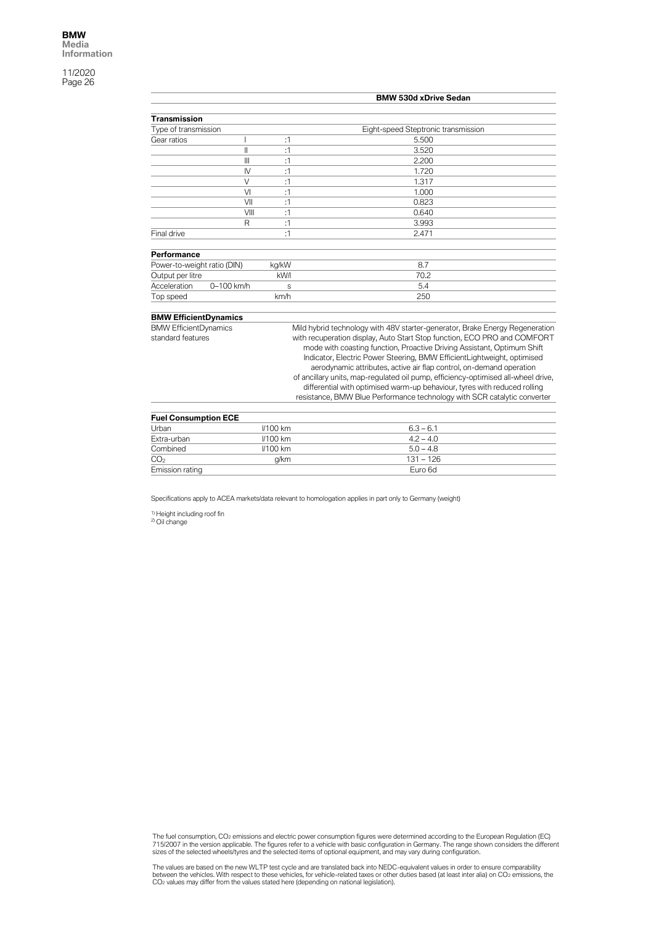|                                                              |              |                 | <b>BMW 530d xDrive Sedan</b>                                                      |
|--------------------------------------------------------------|--------------|-----------------|-----------------------------------------------------------------------------------|
| <b>Transmission</b>                                          |              |                 |                                                                                   |
| Type of transmission                                         |              |                 | Eight-speed Steptronic transmission                                               |
| Gear ratios                                                  |              | :1              | 5.500                                                                             |
|                                                              |              |                 |                                                                                   |
|                                                              | II<br>Ш      | :1<br>:1        | 3.520<br>2.200                                                                    |
|                                                              |              |                 |                                                                                   |
|                                                              | $\mathsf{N}$ | :1              | 1.720                                                                             |
|                                                              | $\vee$       | :1              | 1.317                                                                             |
|                                                              | VI           | :1              | 1.000                                                                             |
|                                                              | VII          | :1              | 0.823                                                                             |
|                                                              | VIII         | :1              | 0.640                                                                             |
|                                                              | R            | :1              | 3.993                                                                             |
| Final drive                                                  |              | :1              | 2.471                                                                             |
| Performance                                                  |              |                 |                                                                                   |
| Power-to-weight ratio (DIN)                                  |              | kg/kW           | 8.7                                                                               |
| Output per litre                                             |              | kW/I            | 70.2                                                                              |
| Acceleration                                                 | 0-100 km/h   | S               | 5.4                                                                               |
| Top speed                                                    |              | km/h            | 250                                                                               |
|                                                              |              |                 |                                                                                   |
| <b>BMW EfficientDynamics</b><br><b>BMW EfficientDynamics</b> |              |                 | Mild hybrid technology with 48V starter-generator, Brake Energy Regeneration      |
| standard features                                            |              |                 | with recuperation display, Auto Start Stop function, ECO PRO and COMFORT          |
|                                                              |              |                 | mode with coasting function, Proactive Driving Assistant, Optimum Shift           |
|                                                              |              |                 | Indicator, Electric Power Steering, BMW EfficientLightweight, optimised           |
|                                                              |              |                 | aerodynamic attributes, active air flap control, on-demand operation              |
|                                                              |              |                 | of ancillary units, map-regulated oil pump, efficiency-optimised all-wheel drive, |
|                                                              |              |                 | differential with optimised warm-up behaviour, tyres with reduced rolling         |
|                                                              |              |                 | resistance, BMW Blue Performance technology with SCR catalytic converter          |
|                                                              |              |                 |                                                                                   |
| <b>Fuel Consumption ECE</b>                                  |              |                 |                                                                                   |
| Urban                                                        |              | <b>//100 km</b> | $6.3 - 6.1$                                                                       |

| <b>I GET OUTSUITDUUT LUL</b> |                 |             |  |  |
|------------------------------|-----------------|-------------|--|--|
| Urban                        | <b>I/100 km</b> | $6.3 - 6.1$ |  |  |
| Extra-urban                  | $1/100$ km      | $4.2 - 4.0$ |  |  |
| Combined                     | $1/100$ km      | $5.0 - 4.8$ |  |  |
| CO <sub>2</sub>              | a/km            | $131 - 126$ |  |  |
| Emission rating              |                 | Euro 6d     |  |  |

Specifications apply to ACEA markets/data relevant to homologation applies in part only to Germany (weight)

<sup>1)</sup> Height including roof fin<br><sup>2)</sup> Oil change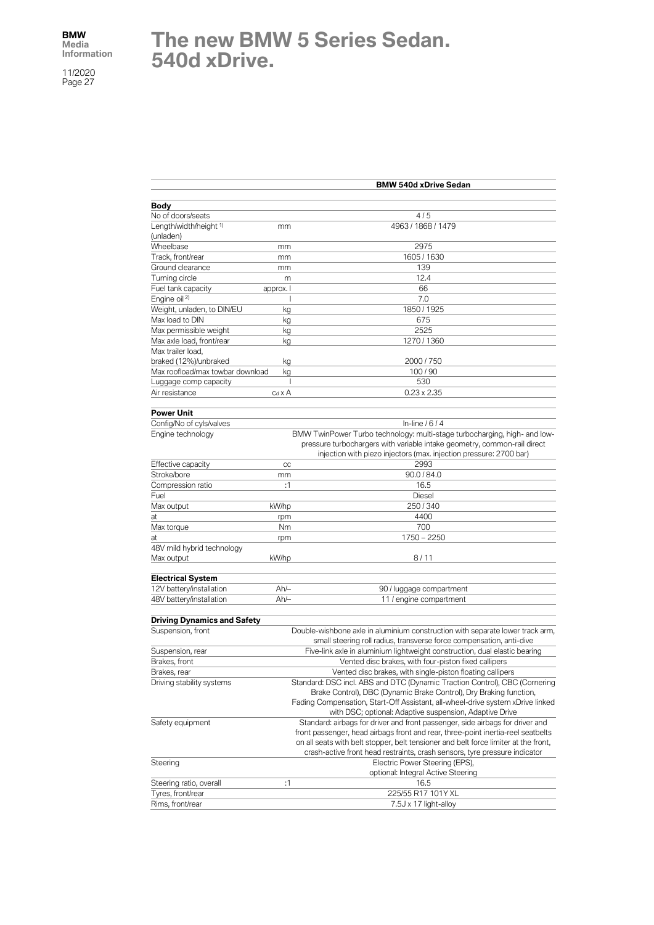# **The new BMW 5 Series Sedan. 540d xDrive.**

|                                    |               | <b>BMW 540d xDrive Sedan</b>                                                        |
|------------------------------------|---------------|-------------------------------------------------------------------------------------|
| Body                               |               |                                                                                     |
| No of doors/seats                  |               | 4/5                                                                                 |
| Length/width/height <sup>1)</sup>  | mm            | 4963 / 1868 / 1479                                                                  |
| (unladen)                          |               |                                                                                     |
| Wheelbase                          | mm            | 2975                                                                                |
| Track, front/rear                  | mm            | 1605 / 1630                                                                         |
| Ground clearance                   | mm            | 139                                                                                 |
| Turning circle                     | m             | 12.4                                                                                |
| Fuel tank capacity                 | approx. I     | 66                                                                                  |
| Engine oil <sup>2)</sup>           |               | 7.0                                                                                 |
| Weight, unladen, to DIN/EU         | kg            | 1850 / 1925                                                                         |
| Max load to DIN                    | kg            | 675                                                                                 |
| Max permissible weight             | kg            | 2525                                                                                |
| Max axle load, front/rear          | kg            | 1270 / 1360                                                                         |
| Max trailer load,                  |               |                                                                                     |
| braked (12%)/unbraked              | kg            | 2000 / 750                                                                          |
| Max roofload/max towbar download   | kg            | 100/90                                                                              |
| Luggage comp capacity              | T             | 530                                                                                 |
| Air resistance                     | $Cd \times A$ | $0.23 \times 2.35$                                                                  |
|                                    |               |                                                                                     |
| <b>Power Unit</b>                  |               |                                                                                     |
| Config/No of cyls/valves           |               | In-line $/6/4$                                                                      |
| Engine technology                  |               | BMW TwinPower Turbo technology: multi-stage turbocharging, high- and low-           |
|                                    |               | pressure turbochargers with variable intake geometry, common-rail direct            |
|                                    |               | injection with piezo injectors (max. injection pressure: 2700 bar)                  |
| Effective capacity                 | CC            | 2993                                                                                |
| Stroke/bore                        | mm            | 90.0 / 84.0                                                                         |
| Compression ratio                  | :1            | 16.5                                                                                |
| Fuel                               |               | <b>Diesel</b>                                                                       |
| Max output                         | kW/hp         | 250/340                                                                             |
| at                                 | rpm           | 4400                                                                                |
| Max torque                         | Nm            | 700                                                                                 |
| at                                 | rpm           | $1750 - 2250$                                                                       |
| 48V mild hybrid technology         |               |                                                                                     |
| Max output                         | kW/hp         | 8/11                                                                                |
|                                    |               |                                                                                     |
| <b>Electrical System</b>           |               |                                                                                     |
| 12V battery/installation           | $Ah/-$        | 90 / luggage compartment                                                            |
| 48V battery/installation           | $Ah/-$        | 11 / engine compartment                                                             |
|                                    |               |                                                                                     |
| <b>Driving Dynamics and Safety</b> |               |                                                                                     |
| Suspension, front                  |               | Double-wishbone axle in aluminium construction with separate lower track arm,       |
|                                    |               | small steering roll radius, transverse force compensation, anti-dive                |
| Suspension, rear                   |               | Five-link axle in aluminium lightweight construction, dual elastic bearing          |
| Brakes, front                      |               | Vented disc brakes, with four-piston fixed callipers                                |
| Brakes, rear                       |               | Vented disc brakes, with single-piston floating callipers                           |
| Driving stability systems          |               | Standard: DSC incl. ABS and DTC (Dynamic Traction Control), CBC (Cornering          |
|                                    |               | Brake Control), DBC (Dynamic Brake Control), Dry Braking function,                  |
|                                    |               | Fading Compensation, Start-Off Assistant, all-wheel-drive system xDrive linked      |
|                                    |               | with DSC; optional: Adaptive suspension, Adaptive Drive                             |
| Safety equipment                   |               | Standard: airbags for driver and front passenger, side airbags for driver and       |
|                                    |               | front passenger, head airbags front and rear, three-point inertia-reel seatbelts    |
|                                    |               | on all seats with belt stopper, belt tensioner and belt force limiter at the front, |
|                                    |               | crash-active front head restraints, crash sensors, tyre pressure indicator          |
| Steering                           |               | Electric Power Steering (EPS),                                                      |
|                                    |               | optional: Integral Active Steering                                                  |
| Steering ratio, overall            | :1            | 16.5                                                                                |
| Tyres, front/rear                  |               | 225/55 R17 101Y XL                                                                  |
| Rims, front/rear                   |               | 7.5J x 17 light-alloy                                                               |